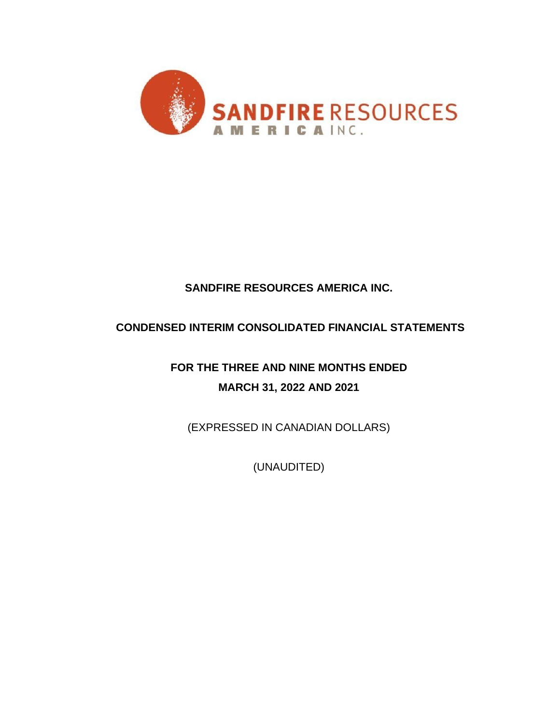

# **SANDFIRE RESOURCES AMERICA INC.**

# **CONDENSED INTERIM CONSOLIDATED FINANCIAL STATEMENTS**

**FOR THE THREE AND NINE MONTHS ENDED MARCH 31, 2022 AND 2021**

(EXPRESSED IN CANADIAN DOLLARS)

(UNAUDITED)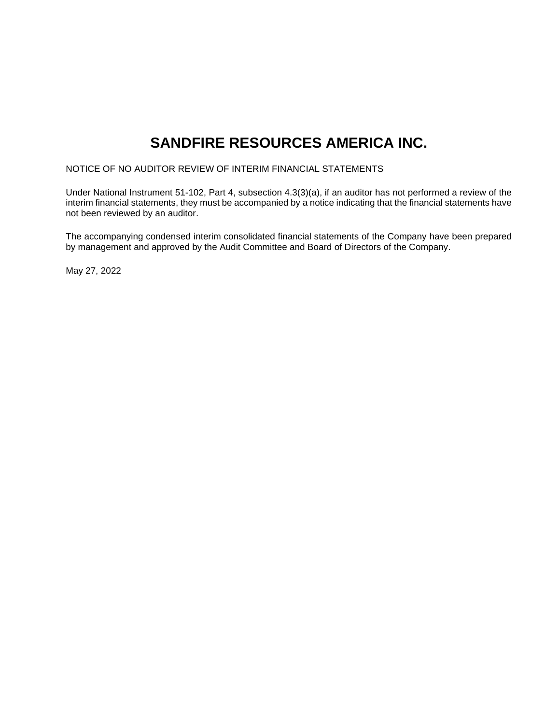# **SANDFIRE RESOURCES AMERICA INC.**

NOTICE OF NO AUDITOR REVIEW OF INTERIM FINANCIAL STATEMENTS

Under National Instrument 51-102, Part 4, subsection 4.3(3)(a), if an auditor has not performed a review of the interim financial statements, they must be accompanied by a notice indicating that the financial statements have not been reviewed by an auditor.

The accompanying condensed interim consolidated financial statements of the Company have been prepared by management and approved by the Audit Committee and Board of Directors of the Company.

May 27, 2022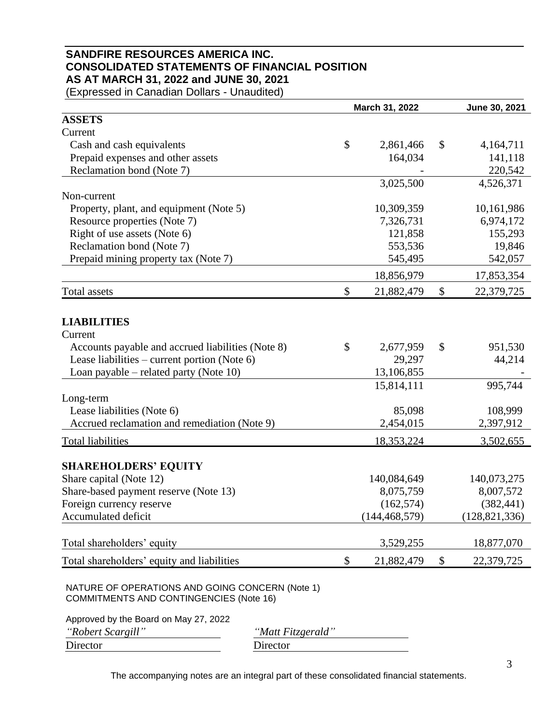## **SANDFIRE RESOURCES AMERICA INC. CONSOLIDATED STATEMENTS OF FINANCIAL POSITION AS AT MARCH 31, 2022 and JUNE 30, 2021**

(Expressed in Canadian Dollars - Unaudited)

|                                                                                                   | March 31, 2022   | June 30, 2021 |                 |
|---------------------------------------------------------------------------------------------------|------------------|---------------|-----------------|
| <b>ASSETS</b>                                                                                     |                  |               |                 |
| Current                                                                                           |                  |               |                 |
| Cash and cash equivalents                                                                         | \$<br>2,861,466  | \$            | 4,164,711       |
| Prepaid expenses and other assets                                                                 | 164,034          |               | 141,118         |
| Reclamation bond (Note 7)                                                                         |                  |               | 220,542         |
|                                                                                                   | 3,025,500        |               | 4,526,371       |
| Non-current                                                                                       |                  |               |                 |
| Property, plant, and equipment (Note 5)                                                           | 10,309,359       |               | 10,161,986      |
| Resource properties (Note 7)                                                                      | 7,326,731        |               | 6,974,172       |
| Right of use assets (Note 6)                                                                      | 121,858          |               | 155,293         |
| Reclamation bond (Note 7)                                                                         | 553,536          |               | 19,846          |
| Prepaid mining property tax (Note 7)                                                              | 545,495          |               | 542,057         |
|                                                                                                   | 18,856,979       |               | 17,853,354      |
| Total assets                                                                                      | \$<br>21,882,479 | \$            | 22,379,725      |
|                                                                                                   |                  |               |                 |
| <b>LIABILITIES</b>                                                                                |                  |               |                 |
| Current                                                                                           |                  |               |                 |
| Accounts payable and accrued liabilities (Note 8)                                                 | \$<br>2,677,959  | \$            | 951,530         |
| Lease liabilities – current portion (Note $6$ )                                                   | 29,297           |               | 44,214          |
| Loan payable – related party (Note $10$ )                                                         | 13,106,855       |               |                 |
|                                                                                                   | 15,814,111       |               | 995,744         |
| Long-term                                                                                         |                  |               |                 |
| Lease liabilities (Note 6)                                                                        | 85,098           |               | 108,999         |
| Accrued reclamation and remediation (Note 9)                                                      | 2,454,015        |               | 2,397,912       |
| <b>Total liabilities</b>                                                                          | 18,353,224       |               | 3,502,655       |
| <b>SHAREHOLDERS' EQUITY</b>                                                                       |                  |               |                 |
| Share capital (Note 12)                                                                           | 140,084,649      |               | 140,073,275     |
| Share-based payment reserve (Note 13)                                                             | 8,075,759        |               | 8,007,572       |
| Foreign currency reserve                                                                          | (162, 574)       |               | (382, 441)      |
| Accumulated deficit                                                                               | (144, 468, 579)  |               | (128, 821, 336) |
|                                                                                                   |                  |               |                 |
| Total shareholders' equity                                                                        | 3,529,255        |               | 18,877,070      |
| Total shareholders' equity and liabilities                                                        | \$<br>21,882,479 | \$            | 22,379,725      |
| NATURE OF OPERATIONS AND GOING CONCERN (Note 1)<br><b>COMMITMENTS AND CONTINGENCIES (Note 16)</b> |                  |               |                 |

Approved by the Board on May 27, 2022

*"Robert Scargill" "Matt Fitzgerald"* Director Director

The accompanying notes are an integral part of these consolidated financial statements.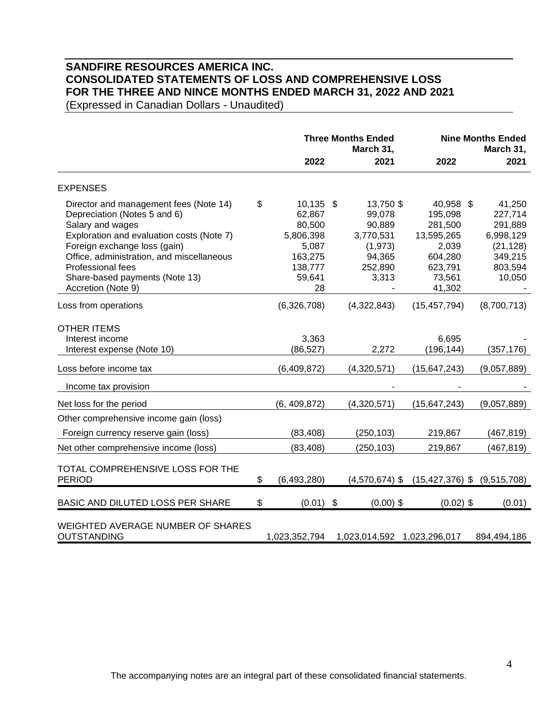# **SANDFIRE RESOURCES AMERICA INC. CONSOLIDATED STATEMENTS OF LOSS AND COMPREHENSIVE LOSS FOR THE THREE AND NINCE MONTHS ENDED MARCH 31, 2022 AND 2021**

(Expressed in Canadian Dollars - Unaudited)

|                                                                                                                                                                                                                                                                                                   | <b>Three Months Ended</b><br>March 31, |                                                                                             |  |                                                                                      | <b>Nine Months Ended</b><br>March 31,                                                            |                                                                                        |  |
|---------------------------------------------------------------------------------------------------------------------------------------------------------------------------------------------------------------------------------------------------------------------------------------------------|----------------------------------------|---------------------------------------------------------------------------------------------|--|--------------------------------------------------------------------------------------|--------------------------------------------------------------------------------------------------|----------------------------------------------------------------------------------------|--|
|                                                                                                                                                                                                                                                                                                   |                                        | 2022                                                                                        |  | 2021                                                                                 | 2022                                                                                             | 2021                                                                                   |  |
| <b>EXPENSES</b>                                                                                                                                                                                                                                                                                   |                                        |                                                                                             |  |                                                                                      |                                                                                                  |                                                                                        |  |
| Director and management fees (Note 14)<br>Depreciation (Notes 5 and 6)<br>Salary and wages<br>Exploration and evaluation costs (Note 7)<br>Foreign exchange loss (gain)<br>Office, administration, and miscellaneous<br>Professional fees<br>Share-based payments (Note 13)<br>Accretion (Note 9) | \$                                     | $10,135$ \$<br>62,867<br>80,500<br>5,806,398<br>5,087<br>163,275<br>138,777<br>59,641<br>28 |  | 13,750 \$<br>99,078<br>90,889<br>3,770,531<br>(1, 973)<br>94,365<br>252,890<br>3,313 | 40,958 \$<br>195,098<br>281,500<br>13,595,265<br>2,039<br>604,280<br>623,791<br>73,561<br>41,302 | 41,250<br>227,714<br>291,889<br>6,998,129<br>(21, 128)<br>349,215<br>803,594<br>10,050 |  |
| Loss from operations                                                                                                                                                                                                                                                                              |                                        | (6,326,708)                                                                                 |  | (4,322,843)                                                                          | (15, 457, 794)                                                                                   | (8,700,713)                                                                            |  |
| <b>OTHER ITEMS</b><br>Interest income<br>Interest expense (Note 10)                                                                                                                                                                                                                               |                                        | 3,363<br>(86, 527)                                                                          |  | 2,272                                                                                | 6,695<br>(196, 144)                                                                              | (357, 176)                                                                             |  |
| Loss before income tax                                                                                                                                                                                                                                                                            |                                        | (6,409,872)                                                                                 |  | (4,320,571)                                                                          | (15, 647, 243)                                                                                   | (9,057,889)                                                                            |  |
| Income tax provision                                                                                                                                                                                                                                                                              |                                        |                                                                                             |  |                                                                                      |                                                                                                  |                                                                                        |  |
| Net loss for the period                                                                                                                                                                                                                                                                           |                                        | (6, 409, 872)                                                                               |  | (4,320,571)                                                                          | (15, 647, 243)                                                                                   | (9,057,889)                                                                            |  |
| Other comprehensive income gain (loss)<br>Foreign currency reserve gain (loss)                                                                                                                                                                                                                    |                                        | (83, 408)                                                                                   |  | (250, 103)                                                                           | 219,867                                                                                          | (467, 819)                                                                             |  |
| Net other comprehensive income (loss)                                                                                                                                                                                                                                                             |                                        | (83, 408)                                                                                   |  | (250, 103)                                                                           | 219,867                                                                                          | (467, 819)                                                                             |  |
| TOTAL COMPREHENSIVE LOSS FOR THE<br><b>PERIOD</b>                                                                                                                                                                                                                                                 | \$                                     | (6,493,280)                                                                                 |  |                                                                                      | $(4,570,674)$ \$ $(15,427,376)$ \$ $(9,515,708)$                                                 |                                                                                        |  |
| BASIC AND DILUTED LOSS PER SHARE                                                                                                                                                                                                                                                                  | \$                                     | $(0.01)$ \$                                                                                 |  | $(0.00)$ \$                                                                          | $(0.02)$ \$                                                                                      | (0.01)                                                                                 |  |
| WEIGHTED AVERAGE NUMBER OF SHARES<br><b>OUTSTANDING</b>                                                                                                                                                                                                                                           |                                        | 1,023,352,794                                                                               |  | 1,023,014,592 1,023,296,017                                                          |                                                                                                  | 894,494,186                                                                            |  |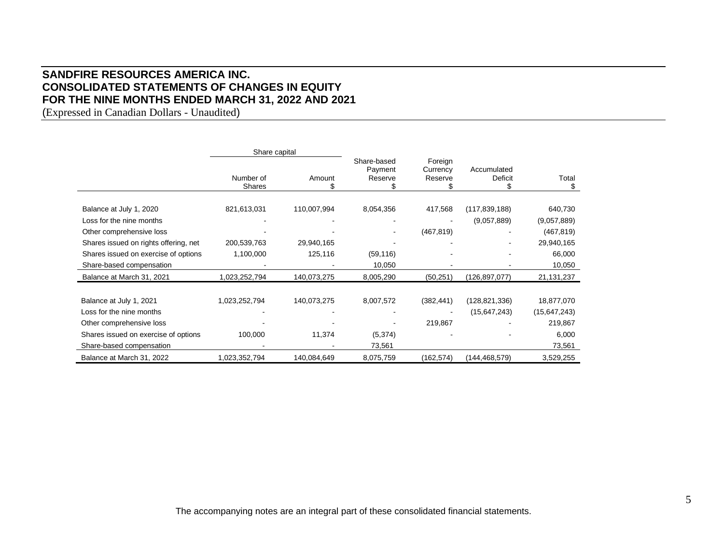## **SANDFIRE RESOURCES AMERICA INC. CONSOLIDATED STATEMENTS OF CHANGES IN EQUITY FOR THE NINE MONTHS ENDED MARCH 31, 2022 AND 2021**

(Expressed in Canadian Dollars - Unaudited)

|                                       | Share capital              |             |                                   |                                |                        |                |  |
|---------------------------------------|----------------------------|-------------|-----------------------------------|--------------------------------|------------------------|----------------|--|
|                                       | Number of<br><b>Shares</b> | Amount      | Share-based<br>Payment<br>Reserve | Foreign<br>Currency<br>Reserve | Accumulated<br>Deficit | Total<br>S     |  |
|                                       |                            |             |                                   |                                |                        |                |  |
| Balance at July 1, 2020               | 821,613,031                | 110,007,994 | 8,054,356                         | 417,568                        | (117, 839, 188)        | 640,730        |  |
| Loss for the nine months              |                            |             |                                   |                                | (9,057,889)            | (9,057,889)    |  |
| Other comprehensive loss              |                            |             |                                   | (467, 819)                     |                        | (467, 819)     |  |
| Shares issued on rights offering, net | 200,539,763                | 29,940,165  |                                   |                                |                        | 29,940,165     |  |
| Shares issued on exercise of options  | 1,100,000                  | 125,116     | (59, 116)                         |                                |                        | 66,000         |  |
| Share-based compensation              |                            |             | 10,050                            |                                |                        | 10,050         |  |
| Balance at March 31, 2021             | 1,023,252,794              | 140,073,275 | 8,005,290                         | (50, 251)                      | (126,897,077)          | 21, 131, 237   |  |
|                                       |                            |             |                                   |                                |                        |                |  |
| Balance at July 1, 2021               | 1,023,252,794              | 140,073,275 | 8,007,572                         | (382, 441)                     | (128, 821, 336)        | 18,877,070     |  |
| Loss for the nine months              |                            |             |                                   |                                | (15, 647, 243)         | (15, 647, 243) |  |
| Other comprehensive loss              |                            |             |                                   | 219,867                        |                        | 219,867        |  |
| Shares issued on exercise of options  | 100,000                    | 11,374      | (5, 374)                          |                                |                        | 6,000          |  |
| Share-based compensation              |                            |             | 73,561                            |                                |                        | 73,561         |  |
| Balance at March 31, 2022             | 1,023,352,794              | 140,084,649 | 8,075,759                         | (162, 574)                     | (144,468,579)          | 3,529,255      |  |

The accompanying notes are an integral part of these consolidated financial statements.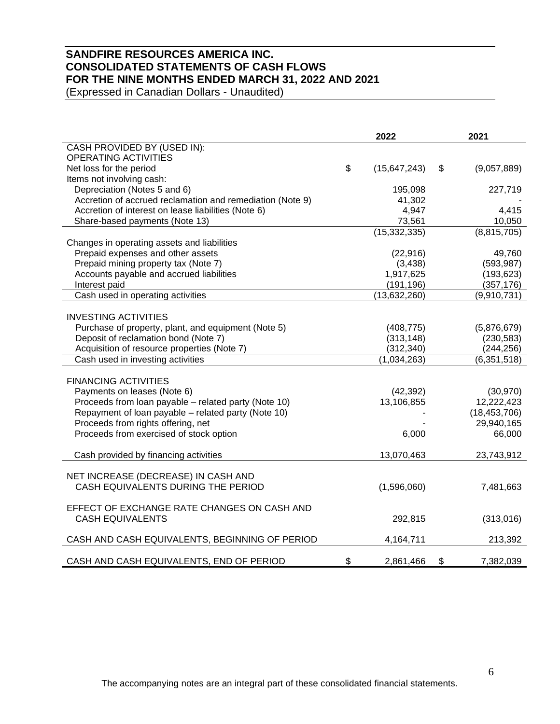# **SANDFIRE RESOURCES AMERICA INC. CONSOLIDATED STATEMENTS OF CASH FLOWS FOR THE NINE MONTHS ENDED MARCH 31, 2022 AND 2021**

(Expressed in Canadian Dollars - Unaudited)

|                                                           | 2022                 | 2021              |
|-----------------------------------------------------------|----------------------|-------------------|
| CASH PROVIDED BY (USED IN):                               |                      |                   |
| <b>OPERATING ACTIVITIES</b>                               |                      |                   |
| Net loss for the period                                   | \$<br>(15, 647, 243) | \$<br>(9,057,889) |
| Items not involving cash:                                 |                      |                   |
| Depreciation (Notes 5 and 6)                              | 195,098              | 227,719           |
| Accretion of accrued reclamation and remediation (Note 9) | 41,302               |                   |
| Accretion of interest on lease liabilities (Note 6)       | 4,947                | 4,415             |
| Share-based payments (Note 13)                            | 73,561               | 10,050            |
|                                                           | (15, 332, 335)       | (8,815,705)       |
| Changes in operating assets and liabilities               |                      |                   |
| Prepaid expenses and other assets                         | (22, 916)            | 49,760            |
| Prepaid mining property tax (Note 7)                      | (3, 438)             | (593, 987)        |
| Accounts payable and accrued liabilities                  | 1,917,625            | (193, 623)        |
| Interest paid                                             | (191, 196)           | (357, 176)        |
| Cash used in operating activities                         | (13,632,260)         | (9,910,731)       |
|                                                           |                      |                   |
| <b>INVESTING ACTIVITIES</b>                               |                      |                   |
| Purchase of property, plant, and equipment (Note 5)       | (408, 775)           | (5,876,679)       |
| Deposit of reclamation bond (Note 7)                      | (313, 148)           | (230, 583)        |
| Acquisition of resource properties (Note 7)               | (312, 340)           | (244, 256)        |
| Cash used in investing activities                         | (1,034,263)          | (6, 351, 518)     |
|                                                           |                      |                   |
| <b>FINANCING ACTIVITIES</b>                               |                      |                   |
| Payments on leases (Note 6)                               | (42, 392)            | (30, 970)         |
| Proceeds from loan payable - related party (Note 10)      | 13,106,855           | 12,222,423        |
| Repayment of loan payable - related party (Note 10)       |                      | (18, 453, 706)    |
| Proceeds from rights offering, net                        |                      | 29,940,165        |
| Proceeds from exercised of stock option                   | 6,000                | 66,000            |
| Cash provided by financing activities                     | 13,070,463           | 23,743,912        |
|                                                           |                      |                   |
| NET INCREASE (DECREASE) IN CASH AND                       |                      |                   |
| CASH EQUIVALENTS DURING THE PERIOD                        | (1,596,060)          | 7,481,663         |
|                                                           |                      |                   |
| EFFECT OF EXCHANGE RATE CHANGES ON CASH AND               |                      |                   |
| <b>CASH EQUIVALENTS</b>                                   | 292,815              | (313,016)         |
|                                                           |                      |                   |
| CASH AND CASH EQUIVALENTS, BEGINNING OF PERIOD            | 4,164,711            | 213,392           |
|                                                           |                      |                   |
| CASH AND CASH EQUIVALENTS, END OF PERIOD                  | \$<br>2,861,466      | \$<br>7,382,039   |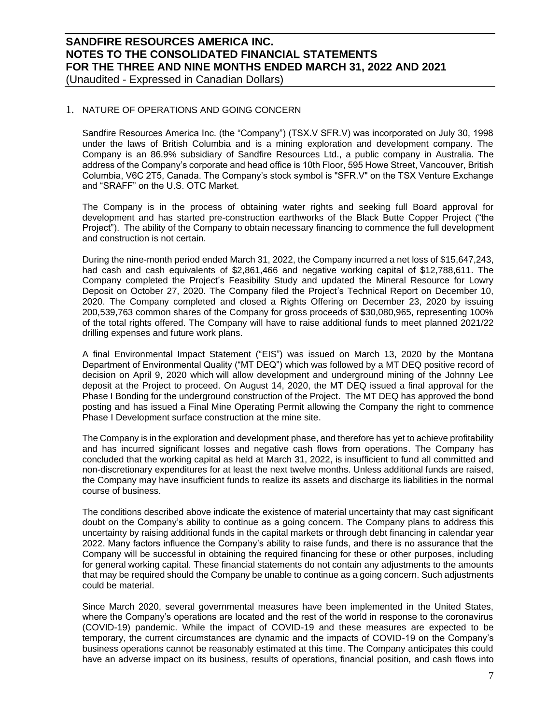(Unaudited - Expressed in Canadian Dollars)

### 1. NATURE OF OPERATIONS AND GOING CONCERN

Sandfire Resources America Inc. (the "Company") (TSX.V SFR.V) was incorporated on July 30, 1998 under the laws of British Columbia and is a mining exploration and development company. The Company is an 86.9% subsidiary of Sandfire Resources Ltd., a public company in Australia. The address of the Company's corporate and head office is 10th Floor, 595 Howe Street, Vancouver, British Columbia, V6C 2T5, Canada. The Company's stock symbol is "SFR.V" on the TSX Venture Exchange and "SRAFF" on the U.S. OTC Market.

The Company is in the process of obtaining water rights and seeking full Board approval for development and has started pre-construction earthworks of the Black Butte Copper Project ("the Project"). The ability of the Company to obtain necessary financing to commence the full development and construction is not certain.

During the nine-month period ended March 31, 2022, the Company incurred a net loss of \$15,647,243, had cash and cash equivalents of \$2,861,466 and negative working capital of \$12,788,611. The Company completed the Project's Feasibility Study and updated the Mineral Resource for Lowry Deposit on October 27, 2020. The Company filed the Project's Technical Report on December 10, 2020. The Company completed and closed a Rights Offering on December 23, 2020 by issuing 200,539,763 common shares of the Company for gross proceeds of \$30,080,965, representing 100% of the total rights offered. The Company will have to raise additional funds to meet planned 2021/22 drilling expenses and future work plans.

A final Environmental Impact Statement ("EIS") was issued on March 13, 2020 by the Montana Department of Environmental Quality ("MT DEQ") which was followed by a MT DEQ positive record of decision on April 9, 2020 which will allow development and underground mining of the Johnny Lee deposit at the Project to proceed. On August 14, 2020, the MT DEQ issued a final approval for the Phase I Bonding for the underground construction of the Project. The MT DEQ has approved the bond posting and has issued a Final Mine Operating Permit allowing the Company the right to commence Phase I Development surface construction at the mine site.

The Company is in the exploration and development phase, and therefore has yet to achieve profitability and has incurred significant losses and negative cash flows from operations. The Company has concluded that the working capital as held at March 31, 2022, is insufficient to fund all committed and non-discretionary expenditures for at least the next twelve months. Unless additional funds are raised, the Company may have insufficient funds to realize its assets and discharge its liabilities in the normal course of business.

The conditions described above indicate the existence of material uncertainty that may cast significant doubt on the Company's ability to continue as a going concern. The Company plans to address this uncertainty by raising additional funds in the capital markets or through debt financing in calendar year 2022. Many factors influence the Company's ability to raise funds, and there is no assurance that the Company will be successful in obtaining the required financing for these or other purposes, including for general working capital. These financial statements do not contain any adjustments to the amounts that may be required should the Company be unable to continue as a going concern. Such adjustments could be material.

Since March 2020, several governmental measures have been implemented in the United States, where the Company's operations are located and the rest of the world in response to the coronavirus (COVID-19) pandemic. While the impact of COVID-19 and these measures are expected to be temporary, the current circumstances are dynamic and the impacts of COVID-19 on the Company's business operations cannot be reasonably estimated at this time. The Company anticipates this could have an adverse impact on its business, results of operations, financial position, and cash flows into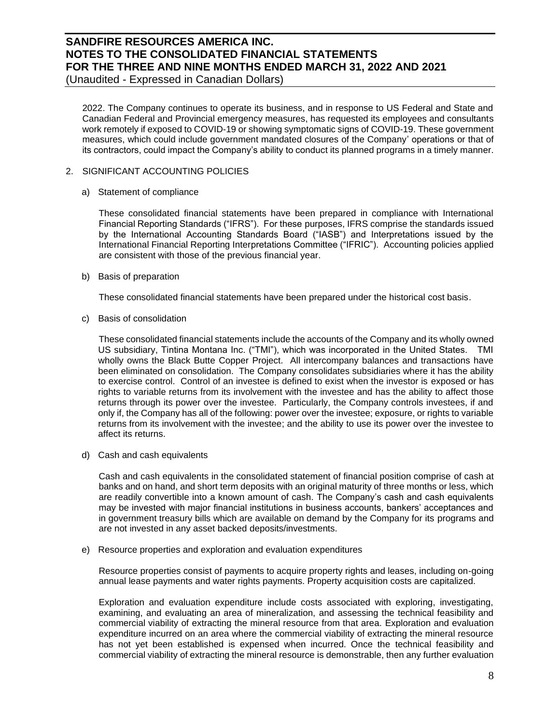(Unaudited - Expressed in Canadian Dollars)

2022. The Company continues to operate its business, and in response to US Federal and State and Canadian Federal and Provincial emergency measures, has requested its employees and consultants work remotely if exposed to COVID-19 or showing symptomatic signs of COVID-19. These government measures, which could include government mandated closures of the Company' operations or that of its contractors, could impact the Company's ability to conduct its planned programs in a timely manner.

- 2. SIGNIFICANT ACCOUNTING POLICIES
	- a) Statement of compliance

These consolidated financial statements have been prepared in compliance with International Financial Reporting Standards ("IFRS"). For these purposes, IFRS comprise the standards issued by the International Accounting Standards Board ("IASB") and Interpretations issued by the International Financial Reporting Interpretations Committee ("IFRIC"). Accounting policies applied are consistent with those of the previous financial year.

b) Basis of preparation

These consolidated financial statements have been prepared under the historical cost basis.

c) Basis of consolidation

These consolidated financial statements include the accounts of the Company and its wholly owned US subsidiary, Tintina Montana Inc. ("TMI"), which was incorporated in the United States. TMI wholly owns the Black Butte Copper Project. All intercompany balances and transactions have been eliminated on consolidation. The Company consolidates subsidiaries where it has the ability to exercise control. Control of an investee is defined to exist when the investor is exposed or has rights to variable returns from its involvement with the investee and has the ability to affect those returns through its power over the investee. Particularly, the Company controls investees, if and only if, the Company has all of the following: power over the investee; exposure, or rights to variable returns from its involvement with the investee; and the ability to use its power over the investee to affect its returns.

d) Cash and cash equivalents

Cash and cash equivalents in the consolidated statement of financial position comprise of cash at banks and on hand, and short term deposits with an original maturity of three months or less, which are readily convertible into a known amount of cash. The Company's cash and cash equivalents may be invested with major financial institutions in business accounts, bankers' acceptances and in government treasury bills which are available on demand by the Company for its programs and are not invested in any asset backed deposits/investments.

e) Resource properties and exploration and evaluation expenditures

Resource properties consist of payments to acquire property rights and leases, including on-going annual lease payments and water rights payments. Property acquisition costs are capitalized.

Exploration and evaluation expenditure include costs associated with exploring, investigating, examining, and evaluating an area of mineralization, and assessing the technical feasibility and commercial viability of extracting the mineral resource from that area. Exploration and evaluation expenditure incurred on an area where the commercial viability of extracting the mineral resource has not yet been established is expensed when incurred. Once the technical feasibility and commercial viability of extracting the mineral resource is demonstrable, then any further evaluation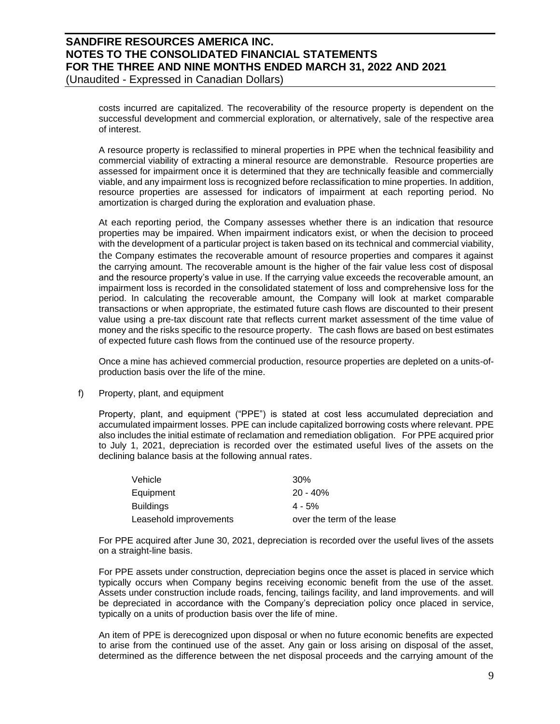## **SANDFIRE RESOURCES AMERICA INC. NOTES TO THE CONSOLIDATED FINANCIAL STATEMENTS FOR THE THREE AND NINE MONTHS ENDED MARCH 31, 2022 AND 2021** (Unaudited - Expressed in Canadian Dollars)

costs incurred are capitalized. The recoverability of the resource property is dependent on the successful development and commercial exploration, or alternatively, sale of the respective area of interest.

A resource property is reclassified to mineral properties in PPE when the technical feasibility and commercial viability of extracting a mineral resource are demonstrable. Resource properties are assessed for impairment once it is determined that they are technically feasible and commercially viable, and any impairment loss is recognized before reclassification to mine properties. In addition, resource properties are assessed for indicators of impairment at each reporting period. No amortization is charged during the exploration and evaluation phase.

At each reporting period, the Company assesses whether there is an indication that resource properties may be impaired. When impairment indicators exist, or when the decision to proceed with the development of a particular project is taken based on its technical and commercial viability, the Company estimates the recoverable amount of resource properties and compares it against the carrying amount. The recoverable amount is the higher of the fair value less cost of disposal and the resource property's value in use. If the carrying value exceeds the recoverable amount, an impairment loss is recorded in the consolidated statement of loss and comprehensive loss for the period. In calculating the recoverable amount, the Company will look at market comparable transactions or when appropriate, the estimated future cash flows are discounted to their present value using a pre-tax discount rate that reflects current market assessment of the time value of money and the risks specific to the resource property. The cash flows are based on best estimates of expected future cash flows from the continued use of the resource property.

Once a mine has achieved commercial production, resource properties are depleted on a units-ofproduction basis over the life of the mine.

### f) Property, plant, and equipment

Property, plant, and equipment ("PPE") is stated at cost less accumulated depreciation and accumulated impairment losses. PPE can include capitalized borrowing costs where relevant. PPE also includes the initial estimate of reclamation and remediation obligation. For PPE acquired prior to July 1, 2021, depreciation is recorded over the estimated useful lives of the assets on the declining balance basis at the following annual rates.

| Vehicle                | $30\%$                     |
|------------------------|----------------------------|
| Equipment              | $20 - 40%$                 |
| <b>Buildings</b>       | $4 - 5%$                   |
| Leasehold improvements | over the term of the lease |

For PPE acquired after June 30, 2021, depreciation is recorded over the useful lives of the assets on a straight-line basis.

For PPE assets under construction, depreciation begins once the asset is placed in service which typically occurs when Company begins receiving economic benefit from the use of the asset. Assets under construction include roads, fencing, tailings facility, and land improvements. and will be depreciated in accordance with the Company's depreciation policy once placed in service, typically on a units of production basis over the life of mine.

An item of PPE is derecognized upon disposal or when no future economic benefits are expected to arise from the continued use of the asset. Any gain or loss arising on disposal of the asset, determined as the difference between the net disposal proceeds and the carrying amount of the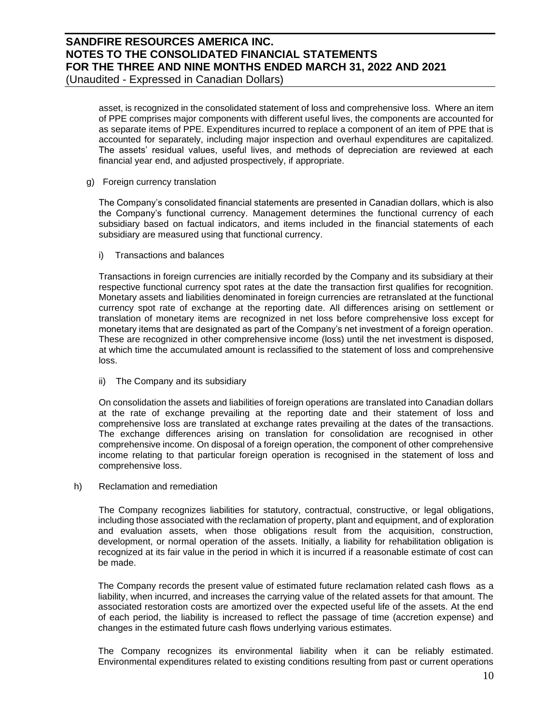(Unaudited - Expressed in Canadian Dollars)

asset, is recognized in the consolidated statement of loss and comprehensive loss. Where an item of PPE comprises major components with different useful lives, the components are accounted for as separate items of PPE. Expenditures incurred to replace a component of an item of PPE that is accounted for separately, including major inspection and overhaul expenditures are capitalized. The assets' residual values, useful lives, and methods of depreciation are reviewed at each financial year end, and adjusted prospectively, if appropriate.

### g) Foreign currency translation

The Company's consolidated financial statements are presented in Canadian dollars, which is also the Company's functional currency. Management determines the functional currency of each subsidiary based on factual indicators, and items included in the financial statements of each subsidiary are measured using that functional currency.

i) Transactions and balances

Transactions in foreign currencies are initially recorded by the Company and its subsidiary at their respective functional currency spot rates at the date the transaction first qualifies for recognition. Monetary assets and liabilities denominated in foreign currencies are retranslated at the functional currency spot rate of exchange at the reporting date. All differences arising on settlement or translation of monetary items are recognized in net loss before comprehensive loss except for monetary items that are designated as part of the Company's net investment of a foreign operation. These are recognized in other comprehensive income (loss) until the net investment is disposed, at which time the accumulated amount is reclassified to the statement of loss and comprehensive loss.

ii) The Company and its subsidiary

On consolidation the assets and liabilities of foreign operations are translated into Canadian dollars at the rate of exchange prevailing at the reporting date and their statement of loss and comprehensive loss are translated at exchange rates prevailing at the dates of the transactions. The exchange differences arising on translation for consolidation are recognised in other comprehensive income. On disposal of a foreign operation, the component of other comprehensive income relating to that particular foreign operation is recognised in the statement of loss and comprehensive loss.

h) Reclamation and remediation

The Company recognizes liabilities for statutory, contractual, constructive, or legal obligations, including those associated with the reclamation of property, plant and equipment, and of exploration and evaluation assets, when those obligations result from the acquisition, construction, development, or normal operation of the assets. Initially, a liability for rehabilitation obligation is recognized at its fair value in the period in which it is incurred if a reasonable estimate of cost can be made.

The Company records the present value of estimated future reclamation related cash flows as a liability, when incurred, and increases the carrying value of the related assets for that amount. The associated restoration costs are amortized over the expected useful life of the assets. At the end of each period, the liability is increased to reflect the passage of time (accretion expense) and changes in the estimated future cash flows underlying various estimates.

The Company recognizes its environmental liability when it can be reliably estimated. Environmental expenditures related to existing conditions resulting from past or current operations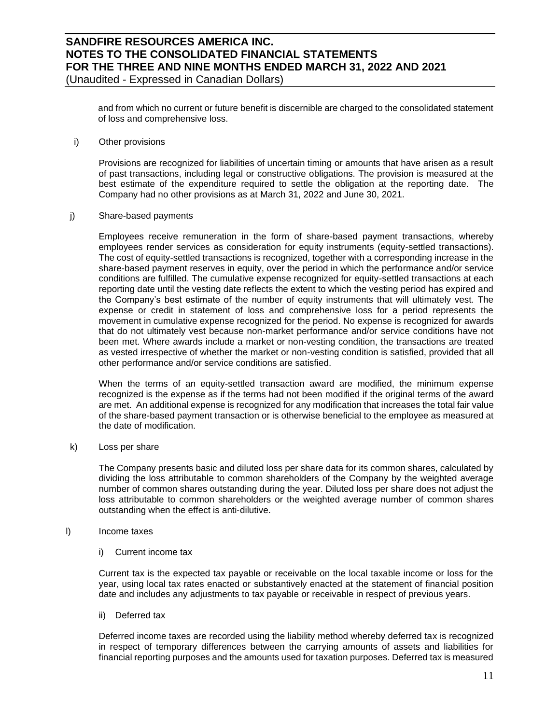and from which no current or future benefit is discernible are charged to the consolidated statement of loss and comprehensive loss.

i) Other provisions

Provisions are recognized for liabilities of uncertain timing or amounts that have arisen as a result of past transactions, including legal or constructive obligations. The provision is measured at the best estimate of the expenditure required to settle the obligation at the reporting date. The Company had no other provisions as at March 31, 2022 and June 30, 2021.

#### j) Share-based payments

Employees receive remuneration in the form of share-based payment transactions, whereby employees render services as consideration for equity instruments (equity-settled transactions). The cost of equity-settled transactions is recognized, together with a corresponding increase in the share-based payment reserves in equity, over the period in which the performance and/or service conditions are fulfilled. The cumulative expense recognized for equity-settled transactions at each reporting date until the vesting date reflects the extent to which the vesting period has expired and the Company's best estimate of the number of equity instruments that will ultimately vest. The expense or credit in statement of loss and comprehensive loss for a period represents the movement in cumulative expense recognized for the period. No expense is recognized for awards that do not ultimately vest because non-market performance and/or service conditions have not been met. Where awards include a market or non-vesting condition, the transactions are treated as vested irrespective of whether the market or non-vesting condition is satisfied, provided that all other performance and/or service conditions are satisfied.

When the terms of an equity-settled transaction award are modified, the minimum expense recognized is the expense as if the terms had not been modified if the original terms of the award are met. An additional expense is recognized for any modification that increases the total fair value of the share-based payment transaction or is otherwise beneficial to the employee as measured at the date of modification.

k) Loss per share

The Company presents basic and diluted loss per share data for its common shares, calculated by dividing the loss attributable to common shareholders of the Company by the weighted average number of common shares outstanding during the year. Diluted loss per share does not adjust the loss attributable to common shareholders or the weighted average number of common shares outstanding when the effect is anti‐dilutive.

### l) Income taxes

i) Current income tax

Current tax is the expected tax payable or receivable on the local taxable income or loss for the year, using local tax rates enacted or substantively enacted at the statement of financial position date and includes any adjustments to tax payable or receivable in respect of previous years.

### ii) Deferred tax

Deferred income taxes are recorded using the liability method whereby deferred tax is recognized in respect of temporary differences between the carrying amounts of assets and liabilities for financial reporting purposes and the amounts used for taxation purposes. Deferred tax is measured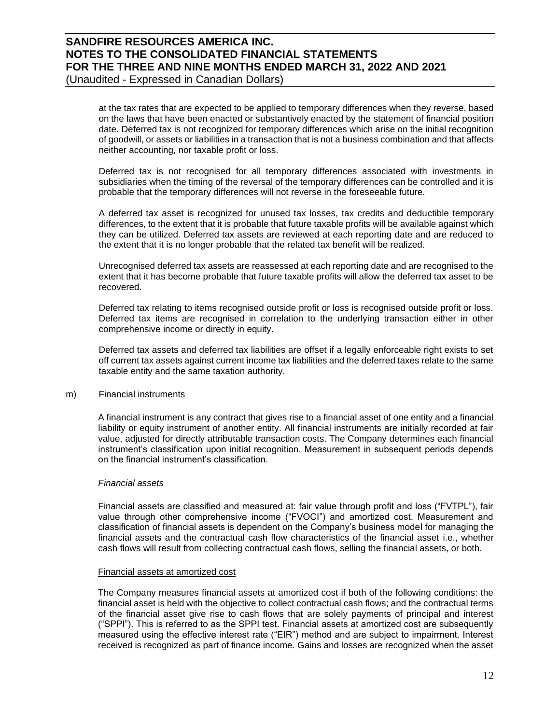(Unaudited - Expressed in Canadian Dollars)

at the tax rates that are expected to be applied to temporary differences when they reverse, based on the laws that have been enacted or substantively enacted by the statement of financial position date. Deferred tax is not recognized for temporary differences which arise on the initial recognition of goodwill, or assets or liabilities in a transaction that is not a business combination and that affects neither accounting, nor taxable profit or loss.

Deferred tax is not recognised for all temporary differences associated with investments in subsidiaries when the timing of the reversal of the temporary differences can be controlled and it is probable that the temporary differences will not reverse in the foreseeable future.

A deferred tax asset is recognized for unused tax losses, tax credits and deductible temporary differences, to the extent that it is probable that future taxable profits will be available against which they can be utilized. Deferred tax assets are reviewed at each reporting date and are reduced to the extent that it is no longer probable that the related tax benefit will be realized.

Unrecognised deferred tax assets are reassessed at each reporting date and are recognised to the extent that it has become probable that future taxable profits will allow the deferred tax asset to be recovered.

Deferred tax relating to items recognised outside profit or loss is recognised outside profit or loss. Deferred tax items are recognised in correlation to the underlying transaction either in other comprehensive income or directly in equity.

Deferred tax assets and deferred tax liabilities are offset if a legally enforceable right exists to set off current tax assets against current income tax liabilities and the deferred taxes relate to the same taxable entity and the same taxation authority.

### m) Financial instruments

A financial instrument is any contract that gives rise to a financial asset of one entity and a financial liability or equity instrument of another entity. All financial instruments are initially recorded at fair value, adjusted for directly attributable transaction costs. The Company determines each financial instrument's classification upon initial recognition. Measurement in subsequent periods depends on the financial instrument's classification.

### *Financial assets*

Financial assets are classified and measured at: fair value through profit and loss ("FVTPL"), fair value through other comprehensive income ("FVOCI") and amortized cost. Measurement and classification of financial assets is dependent on the Company's business model for managing the financial assets and the contractual cash flow characteristics of the financial asset i.e., whether cash flows will result from collecting contractual cash flows, selling the financial assets, or both.

### Financial assets at amortized cost

The Company measures financial assets at amortized cost if both of the following conditions: the financial asset is held with the objective to collect contractual cash flows; and the contractual terms of the financial asset give rise to cash flows that are solely payments of principal and interest ("SPPI"). This is referred to as the SPPI test. Financial assets at amortized cost are subsequently measured using the effective interest rate ("EIR") method and are subject to impairment. Interest received is recognized as part of finance income. Gains and losses are recognized when the asset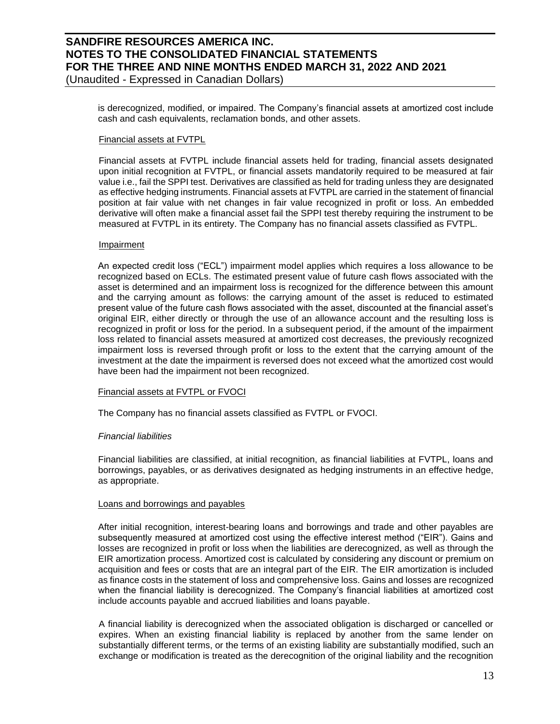## **SANDFIRE RESOURCES AMERICA INC. NOTES TO THE CONSOLIDATED FINANCIAL STATEMENTS FOR THE THREE AND NINE MONTHS ENDED MARCH 31, 2022 AND 2021** (Unaudited - Expressed in Canadian Dollars)

is derecognized, modified, or impaired. The Company's financial assets at amortized cost include cash and cash equivalents, reclamation bonds, and other assets.

### Financial assets at FVTPL

Financial assets at FVTPL include financial assets held for trading, financial assets designated upon initial recognition at FVTPL, or financial assets mandatorily required to be measured at fair value i.e., fail the SPPI test. Derivatives are classified as held for trading unless they are designated as effective hedging instruments. Financial assets at FVTPL are carried in the statement of financial position at fair value with net changes in fair value recognized in profit or loss. An embedded derivative will often make a financial asset fail the SPPI test thereby requiring the instrument to be measured at FVTPL in its entirety. The Company has no financial assets classified as FVTPL.

### Impairment

An expected credit loss ("ECL") impairment model applies which requires a loss allowance to be recognized based on ECLs. The estimated present value of future cash flows associated with the asset is determined and an impairment loss is recognized for the difference between this amount and the carrying amount as follows: the carrying amount of the asset is reduced to estimated present value of the future cash flows associated with the asset, discounted at the financial asset's original EIR, either directly or through the use of an allowance account and the resulting loss is recognized in profit or loss for the period. In a subsequent period, if the amount of the impairment loss related to financial assets measured at amortized cost decreases, the previously recognized impairment loss is reversed through profit or loss to the extent that the carrying amount of the investment at the date the impairment is reversed does not exceed what the amortized cost would have been had the impairment not been recognized.

### Financial assets at FVTPL or FVOCI

The Company has no financial assets classified as FVTPL or FVOCI.

## *Financial liabilities*

Financial liabilities are classified, at initial recognition, as financial liabilities at FVTPL, loans and borrowings, payables, or as derivatives designated as hedging instruments in an effective hedge, as appropriate.

### Loans and borrowings and payables

After initial recognition, interest-bearing loans and borrowings and trade and other payables are subsequently measured at amortized cost using the effective interest method ("EIR"). Gains and losses are recognized in profit or loss when the liabilities are derecognized, as well as through the EIR amortization process. Amortized cost is calculated by considering any discount or premium on acquisition and fees or costs that are an integral part of the EIR. The EIR amortization is included as finance costs in the statement of loss and comprehensive loss. Gains and losses are recognized when the financial liability is derecognized. The Company's financial liabilities at amortized cost include accounts payable and accrued liabilities and loans payable.

A financial liability is derecognized when the associated obligation is discharged or cancelled or expires. When an existing financial liability is replaced by another from the same lender on substantially different terms, or the terms of an existing liability are substantially modified, such an exchange or modification is treated as the derecognition of the original liability and the recognition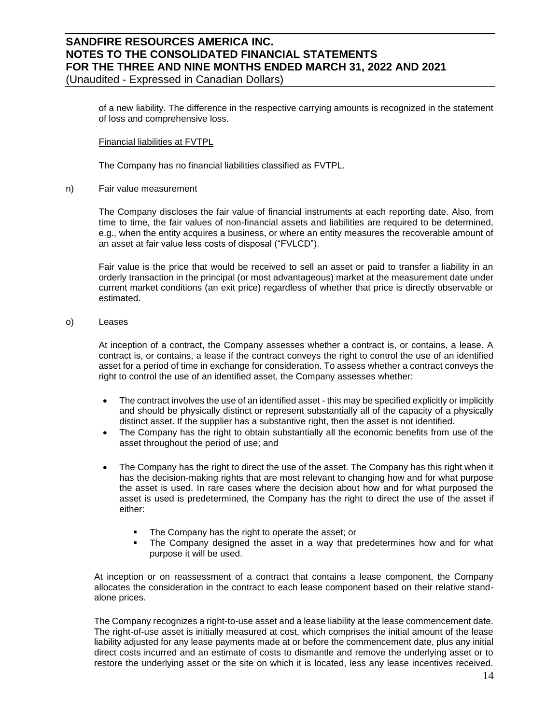(Unaudited - Expressed in Canadian Dollars)

of a new liability. The difference in the respective carrying amounts is recognized in the statement of loss and comprehensive loss.

Financial liabilities at FVTPL

The Company has no financial liabilities classified as FVTPL.

n) Fair value measurement

The Company discloses the fair value of financial instruments at each reporting date. Also, from time to time, the fair values of non-financial assets and liabilities are required to be determined, e.g., when the entity acquires a business, or where an entity measures the recoverable amount of an asset at fair value less costs of disposal ("FVLCD").

Fair value is the price that would be received to sell an asset or paid to transfer a liability in an orderly transaction in the principal (or most advantageous) market at the measurement date under current market conditions (an exit price) regardless of whether that price is directly observable or estimated.

### o) Leases

At inception of a contract, the Company assesses whether a contract is, or contains, a lease. A contract is, or contains, a lease if the contract conveys the right to control the use of an identified asset for a period of time in exchange for consideration. To assess whether a contract conveys the right to control the use of an identified asset, the Company assesses whether:

- The contract involves the use of an identified asset this may be specified explicitly or implicitly and should be physically distinct or represent substantially all of the capacity of a physically distinct asset. If the supplier has a substantive right, then the asset is not identified.
- The Company has the right to obtain substantially all the economic benefits from use of the asset throughout the period of use; and
- The Company has the right to direct the use of the asset. The Company has this right when it has the decision-making rights that are most relevant to changing how and for what purpose the asset is used. In rare cases where the decision about how and for what purposed the asset is used is predetermined, the Company has the right to direct the use of the asset if either:
	- The Company has the right to operate the asset; or
	- The Company designed the asset in a way that predetermines how and for what purpose it will be used.

At inception or on reassessment of a contract that contains a lease component, the Company allocates the consideration in the contract to each lease component based on their relative standalone prices.

The Company recognizes a right-to-use asset and a lease liability at the lease commencement date. The right-of-use asset is initially measured at cost, which comprises the initial amount of the lease liability adjusted for any lease payments made at or before the commencement date, plus any initial direct costs incurred and an estimate of costs to dismantle and remove the underlying asset or to restore the underlying asset or the site on which it is located, less any lease incentives received.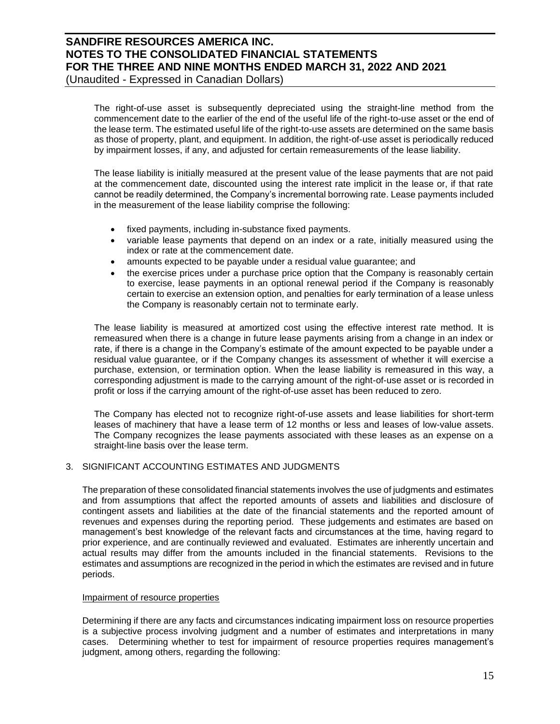(Unaudited - Expressed in Canadian Dollars)

The right-of-use asset is subsequently depreciated using the straight-line method from the commencement date to the earlier of the end of the useful life of the right-to-use asset or the end of the lease term. The estimated useful life of the right-to-use assets are determined on the same basis as those of property, plant, and equipment. In addition, the right-of-use asset is periodically reduced by impairment losses, if any, and adjusted for certain remeasurements of the lease liability.

The lease liability is initially measured at the present value of the lease payments that are not paid at the commencement date, discounted using the interest rate implicit in the lease or, if that rate cannot be readily determined, the Company's incremental borrowing rate. Lease payments included in the measurement of the lease liability comprise the following:

- fixed payments, including in-substance fixed payments.
- variable lease payments that depend on an index or a rate, initially measured using the index or rate at the commencement date.
- amounts expected to be payable under a residual value guarantee; and
- the exercise prices under a purchase price option that the Company is reasonably certain to exercise, lease payments in an optional renewal period if the Company is reasonably certain to exercise an extension option, and penalties for early termination of a lease unless the Company is reasonably certain not to terminate early.

The lease liability is measured at amortized cost using the effective interest rate method. It is remeasured when there is a change in future lease payments arising from a change in an index or rate, if there is a change in the Company's estimate of the amount expected to be payable under a residual value guarantee, or if the Company changes its assessment of whether it will exercise a purchase, extension, or termination option. When the lease liability is remeasured in this way, a corresponding adjustment is made to the carrying amount of the right-of-use asset or is recorded in profit or loss if the carrying amount of the right-of-use asset has been reduced to zero.

The Company has elected not to recognize right-of-use assets and lease liabilities for short-term leases of machinery that have a lease term of 12 months or less and leases of low-value assets. The Company recognizes the lease payments associated with these leases as an expense on a straight-line basis over the lease term.

## 3. SIGNIFICANT ACCOUNTING ESTIMATES AND JUDGMENTS

The preparation of these consolidated financial statements involves the use of judgments and estimates and from assumptions that affect the reported amounts of assets and liabilities and disclosure of contingent assets and liabilities at the date of the financial statements and the reported amount of revenues and expenses during the reporting period. These judgements and estimates are based on management's best knowledge of the relevant facts and circumstances at the time, having regard to prior experience, and are continually reviewed and evaluated. Estimates are inherently uncertain and actual results may differ from the amounts included in the financial statements. Revisions to the estimates and assumptions are recognized in the period in which the estimates are revised and in future periods.

### Impairment of resource properties

Determining if there are any facts and circumstances indicating impairment loss on resource properties is a subjective process involving judgment and a number of estimates and interpretations in many cases. Determining whether to test for impairment of resource properties requires management's judgment, among others, regarding the following: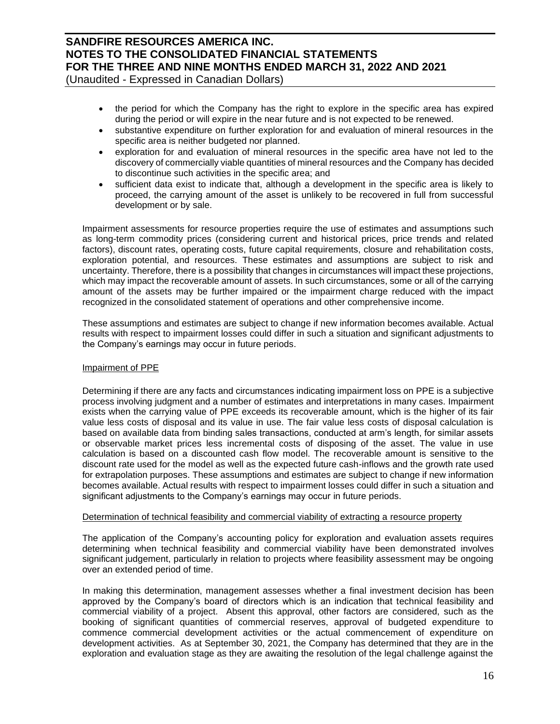(Unaudited - Expressed in Canadian Dollars)

- the period for which the Company has the right to explore in the specific area has expired during the period or will expire in the near future and is not expected to be renewed.
- substantive expenditure on further exploration for and evaluation of mineral resources in the specific area is neither budgeted nor planned.
- exploration for and evaluation of mineral resources in the specific area have not led to the discovery of commercially viable quantities of mineral resources and the Company has decided to discontinue such activities in the specific area; and
- sufficient data exist to indicate that, although a development in the specific area is likely to proceed, the carrying amount of the asset is unlikely to be recovered in full from successful development or by sale.

Impairment assessments for resource properties require the use of estimates and assumptions such as long-term commodity prices (considering current and historical prices, price trends and related factors), discount rates, operating costs, future capital requirements, closure and rehabilitation costs, exploration potential, and resources. These estimates and assumptions are subject to risk and uncertainty. Therefore, there is a possibility that changes in circumstances will impact these projections, which may impact the recoverable amount of assets. In such circumstances, some or all of the carrying amount of the assets may be further impaired or the impairment charge reduced with the impact recognized in the consolidated statement of operations and other comprehensive income.

These assumptions and estimates are subject to change if new information becomes available. Actual results with respect to impairment losses could differ in such a situation and significant adjustments to the Company's earnings may occur in future periods.

### Impairment of PPE

Determining if there are any facts and circumstances indicating impairment loss on PPE is a subjective process involving judgment and a number of estimates and interpretations in many cases. Impairment exists when the carrying value of PPE exceeds its recoverable amount, which is the higher of its fair value less costs of disposal and its value in use. The fair value less costs of disposal calculation is based on available data from binding sales transactions, conducted at arm's length, for similar assets or observable market prices less incremental costs of disposing of the asset. The value in use calculation is based on a discounted cash flow model. The recoverable amount is sensitive to the discount rate used for the model as well as the expected future cash-inflows and the growth rate used for extrapolation purposes. These assumptions and estimates are subject to change if new information becomes available. Actual results with respect to impairment losses could differ in such a situation and significant adjustments to the Company's earnings may occur in future periods.

### Determination of technical feasibility and commercial viability of extracting a resource property

The application of the Company's accounting policy for exploration and evaluation assets requires determining when technical feasibility and commercial viability have been demonstrated involves significant judgement, particularly in relation to projects where feasibility assessment may be ongoing over an extended period of time.

In making this determination, management assesses whether a final investment decision has been approved by the Company's board of directors which is an indication that technical feasibility and commercial viability of a project. Absent this approval, other factors are considered, such as the booking of significant quantities of commercial reserves, approval of budgeted expenditure to commence commercial development activities or the actual commencement of expenditure on development activities. As at September 30, 2021, the Company has determined that they are in the exploration and evaluation stage as they are awaiting the resolution of the legal challenge against the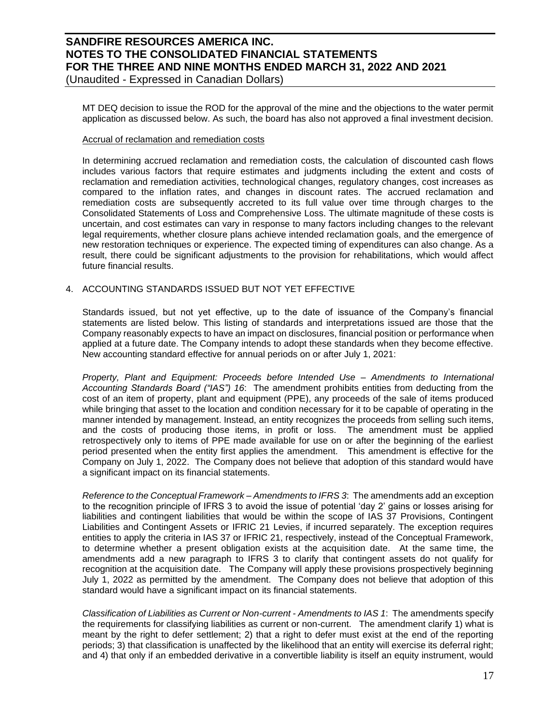## **SANDFIRE RESOURCES AMERICA INC. NOTES TO THE CONSOLIDATED FINANCIAL STATEMENTS FOR THE THREE AND NINE MONTHS ENDED MARCH 31, 2022 AND 2021** (Unaudited - Expressed in Canadian Dollars)

MT DEQ decision to issue the ROD for the approval of the mine and the objections to the water permit

application as discussed below. As such, the board has also not approved a final investment decision.

### Accrual of reclamation and remediation costs

In determining accrued reclamation and remediation costs, the calculation of discounted cash flows includes various factors that require estimates and judgments including the extent and costs of reclamation and remediation activities, technological changes, regulatory changes, cost increases as compared to the inflation rates, and changes in discount rates. The accrued reclamation and remediation costs are subsequently accreted to its full value over time through charges to the Consolidated Statements of Loss and Comprehensive Loss. The ultimate magnitude of these costs is uncertain, and cost estimates can vary in response to many factors including changes to the relevant legal requirements, whether closure plans achieve intended reclamation goals, and the emergence of new restoration techniques or experience. The expected timing of expenditures can also change. As a result, there could be significant adjustments to the provision for rehabilitations, which would affect future financial results.

## 4. ACCOUNTING STANDARDS ISSUED BUT NOT YET EFFECTIVE

Standards issued, but not yet effective, up to the date of issuance of the Company's financial statements are listed below. This listing of standards and interpretations issued are those that the Company reasonably expects to have an impact on disclosures, financial position or performance when applied at a future date. The Company intends to adopt these standards when they become effective. New accounting standard effective for annual periods on or after July 1, 2021:

*Property, Plant and Equipment: Proceeds before Intended Use – Amendments to International Accounting Standards Board ("IAS") 16*: The amendment prohibits entities from deducting from the cost of an item of property, plant and equipment (PPE), any proceeds of the sale of items produced while bringing that asset to the location and condition necessary for it to be capable of operating in the manner intended by management. Instead, an entity recognizes the proceeds from selling such items, and the costs of producing those items, in profit or loss. The amendment must be applied retrospectively only to items of PPE made available for use on or after the beginning of the earliest period presented when the entity first applies the amendment. This amendment is effective for the Company on July 1, 2022. The Company does not believe that adoption of this standard would have a significant impact on its financial statements.

*Reference to the Conceptual Framework – Amendments to IFRS 3*: The amendments add an exception to the recognition principle of IFRS 3 to avoid the issue of potential 'day 2' gains or losses arising for liabilities and contingent liabilities that would be within the scope of IAS 37 Provisions, Contingent Liabilities and Contingent Assets or IFRIC 21 Levies, if incurred separately. The exception requires entities to apply the criteria in IAS 37 or IFRIC 21, respectively, instead of the Conceptual Framework, to determine whether a present obligation exists at the acquisition date. At the same time, the amendments add a new paragraph to IFRS 3 to clarify that contingent assets do not qualify for recognition at the acquisition date. The Company will apply these provisions prospectively beginning July 1, 2022 as permitted by the amendment. The Company does not believe that adoption of this standard would have a significant impact on its financial statements.

*Classification of Liabilities as Current or Non-current - Amendments to IAS 1*: The amendments specify the requirements for classifying liabilities as current or non-current. The amendment clarify 1) what is meant by the right to defer settlement; 2) that a right to defer must exist at the end of the reporting periods; 3) that classification is unaffected by the likelihood that an entity will exercise its deferral right; and 4) that only if an embedded derivative in a convertible liability is itself an equity instrument, would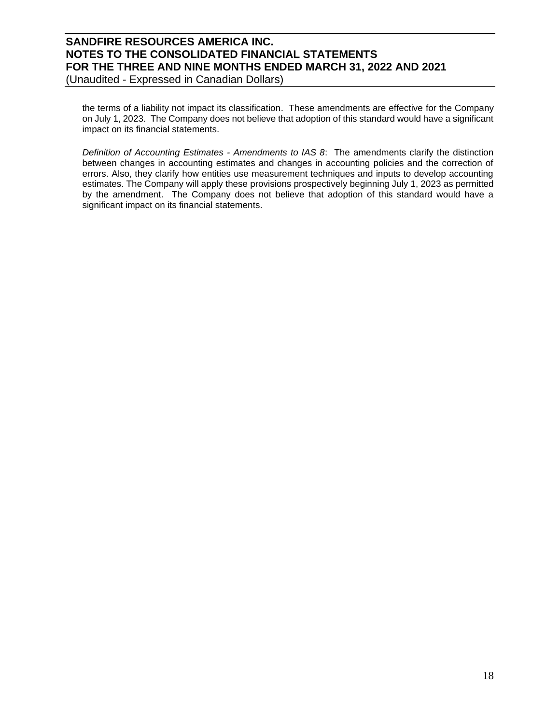(Unaudited - Expressed in Canadian Dollars)

the terms of a liability not impact its classification. These amendments are effective for the Company on July 1, 2023. The Company does not believe that adoption of this standard would have a significant impact on its financial statements.

*Definition of Accounting Estimates - Amendments to IAS 8*: The amendments clarify the distinction between changes in accounting estimates and changes in accounting policies and the correction of errors. Also, they clarify how entities use measurement techniques and inputs to develop accounting estimates. The Company will apply these provisions prospectively beginning July 1, 2023 as permitted by the amendment. The Company does not believe that adoption of this standard would have a significant impact on its financial statements.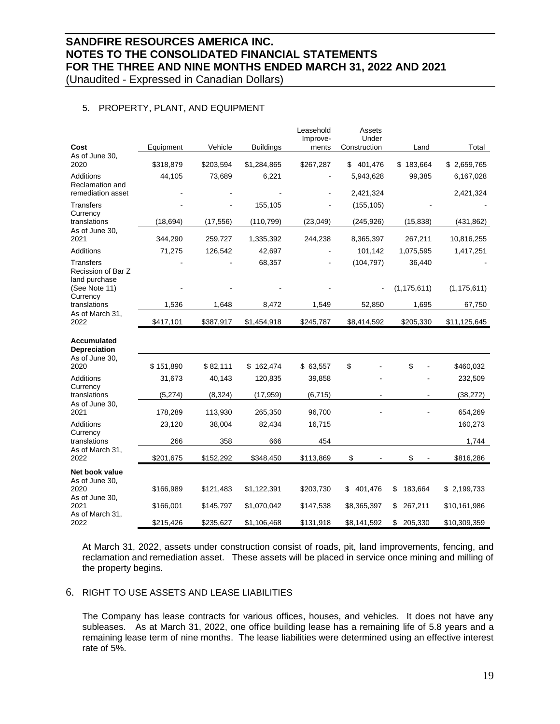(Unaudited - Expressed in Canadian Dollars)

## 5. PROPERTY, PLANT, AND EQUIPMENT

|                                            |           |           |                  | Leasehold         | Assets                |               |               |
|--------------------------------------------|-----------|-----------|------------------|-------------------|-----------------------|---------------|---------------|
| Cost                                       | Equipment | Vehicle   | <b>Buildings</b> | Improve-<br>ments | Under<br>Construction | Land          | Total         |
| As of June 30,<br>2020                     | \$318,879 | \$203,594 | \$1,284,865      | \$267,287         | 401,476<br>\$         | \$183,664     | \$2,659,765   |
| Additions                                  | 44,105    | 73,689    | 6,221            |                   | 5,943,628             | 99,385        | 6,167,028     |
| Reclamation and<br>remediation asset       |           |           |                  |                   | 2,421,324             |               | 2,421,324     |
| <b>Transfers</b>                           |           |           | 155,105          |                   | (155, 105)            |               |               |
| Currency<br>translations                   | (18, 694) | (17, 556) | (110, 799)       | (23,049)          | (245, 926)            | (15, 838)     | (431, 862)    |
| As of June 30,<br>2021                     | 344,290   | 259,727   | 1,335,392        | 244,238           | 8,365,397             | 267,211       | 10,816,255    |
| Additions                                  | 71,275    | 126,542   | 42,697           |                   | 101,142               | 1,075,595     | 1,417,251     |
| Transfers<br>Recission of Bar Z            |           |           | 68,357           |                   | (104, 797)            | 36,440        |               |
| land purchase<br>(See Note 11)<br>Currency |           |           |                  |                   |                       | (1, 175, 611) | (1, 175, 611) |
| translations                               | 1,536     | 1,648     | 8,472            | 1,549             | 52,850                | 1,695         | 67,750        |
| As of March 31,<br>2022                    | \$417,101 | \$387,917 | \$1,454,918      | \$245,787         | \$8,414,592           | \$205,330     | \$11,125,645  |
| <b>Accumulated</b><br>Depreciation         |           |           |                  |                   |                       |               |               |
| As of June 30,<br>2020                     | \$151,890 | \$82,111  | \$162,474        | \$63,557          | \$                    | \$            | \$460,032     |
| <b>Additions</b>                           | 31,673    | 40,143    | 120,835          | 39,858            |                       |               | 232,509       |
| Currency<br>translations                   | (5, 274)  | (8, 324)  | (17, 959)        | (6, 715)          |                       |               | (38, 272)     |
| As of June 30,<br>2021                     | 178,289   | 113,930   | 265,350          | 96,700            |                       |               | 654,269       |
| Additions                                  | 23,120    | 38,004    | 82,434           | 16,715            |                       |               | 160,273       |
| Currency<br>translations                   | 266       | 358       | 666              | 454               |                       |               | 1,744         |
| As of March 31,<br>2022                    | \$201,675 | \$152,292 | \$348,450        | \$113,869         | \$                    | \$            | \$816,286     |
| Net book value                             |           |           |                  |                   |                       |               |               |
| As of June 30,<br>2020<br>As of June 30,   | \$166,989 | \$121,483 | \$1,122,391      | \$203,730         | 401,476<br>\$         | \$<br>183,664 | \$2,199,733   |
| 2021                                       | \$166,001 | \$145,797 | \$1,070,042      | \$147,538         | \$8,365,397           | \$<br>267,211 | \$10,161,986  |
| As of March 31,<br>2022                    | \$215,426 | \$235,627 | \$1,106,468      | \$131,918         | \$8,141,592           | \$ 205,330    | \$10,309,359  |

At March 31, 2022, assets under construction consist of roads, pit, land improvements, fencing, and reclamation and remediation asset. These assets will be placed in service once mining and milling of the property begins.

## 6. RIGHT TO USE ASSETS AND LEASE LIABILITIES

The Company has lease contracts for various offices, houses, and vehicles. It does not have any subleases. As at March 31, 2022, one office building lease has a remaining life of 5.8 years and a remaining lease term of nine months. The lease liabilities were determined using an effective interest rate of 5%.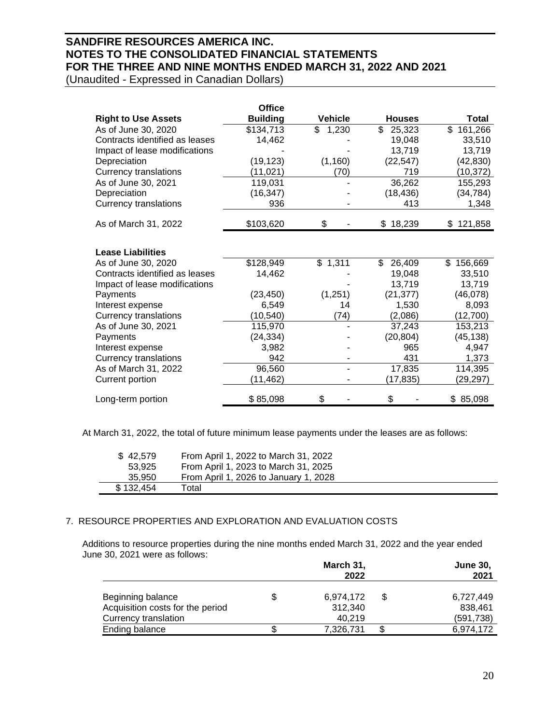(Unaudited - Expressed in Canadian Dollars)

|                                | <b>Office</b>   |                |               |           |
|--------------------------------|-----------------|----------------|---------------|-----------|
| <b>Right to Use Assets</b>     | <b>Building</b> | <b>Vehicle</b> | <b>Houses</b> | Total     |
| As of June 30, 2020            | \$134,713       | \$<br>1,230    | \$.<br>25,323 | \$161,266 |
| Contracts identified as leases | 14,462          |                | 19,048        | 33,510    |
| Impact of lease modifications  |                 |                | 13,719        | 13,719    |
| Depreciation                   | (19, 123)       | (1, 160)       | (22, 547)     | (42, 830) |
| <b>Currency translations</b>   | (11, 021)       | (70)           | 719           | (10, 372) |
| As of June 30, 2021            | 119,031         |                | 36,262        | 155,293   |
| Depreciation                   | (16, 347)       |                | (18, 436)     | (34, 784) |
| <b>Currency translations</b>   | 936             |                | 413           | 1,348     |
| As of March 31, 2022           | \$103,620       | \$             | \$18,239      | \$121,858 |
| <b>Lease Liabilities</b>       |                 |                |               |           |
| As of June 30, 2020            | \$128,949       | \$1,311        | 26,409<br>\$  | \$156,669 |
| Contracts identified as leases | 14,462          |                | 19,048        | 33,510    |
| Impact of lease modifications  |                 |                | 13,719        | 13,719    |
| Payments                       | (23, 450)       | (1,251)        | (21, 377)     | (46,078)  |
| Interest expense               | 6,549           | 14             | 1,530         | 8,093     |
| <b>Currency translations</b>   | (10, 540)       | (74)           | (2,086)       | (12,700)  |
| As of June 30, 2021            | 115,970         |                | 37,243        | 153,213   |
| Payments                       | (24, 334)       |                | (20, 804)     | (45, 138) |
| Interest expense               | 3,982           |                | 965           | 4,947     |
| Currency translations          | 942             |                | 431           | 1,373     |
| As of March 31, 2022           | 96,560          |                | 17,835        | 114,395   |
| Current portion                | (11,462)        |                | (17,835)      | (29,297)  |
| Long-term portion              | \$85,098        | \$             | \$            | \$85,098  |

At March 31, 2022, the total of future minimum lease payments under the leases are as follows:

| \$42,579<br>53.925 | From April 1, 2022 to March 31, 2022<br>From April 1, 2023 to March 31, 2025 |
|--------------------|------------------------------------------------------------------------------|
| 35.950             | From April 1, 2026 to January 1, 2028                                        |
| \$132,454          | Total                                                                        |

## 7. RESOURCE PROPERTIES AND EXPLORATION AND EVALUATION COSTS

Additions to resource properties during the nine months ended March 31, 2022 and the year ended June 30, 2021 were as follows:

|                                  |    | March 31,<br>2022 |   | <b>June 30.</b><br>2021 |
|----------------------------------|----|-------------------|---|-------------------------|
| Beginning balance                | S  | 6,974,172         | S | 6.727.449               |
| Acquisition costs for the period |    | 312.340           |   | 838.461                 |
| <b>Currency translation</b>      |    | 40.219            |   | (591, 738)              |
| Ending balance                   | S. | 7,326,731         |   | 6,974,172               |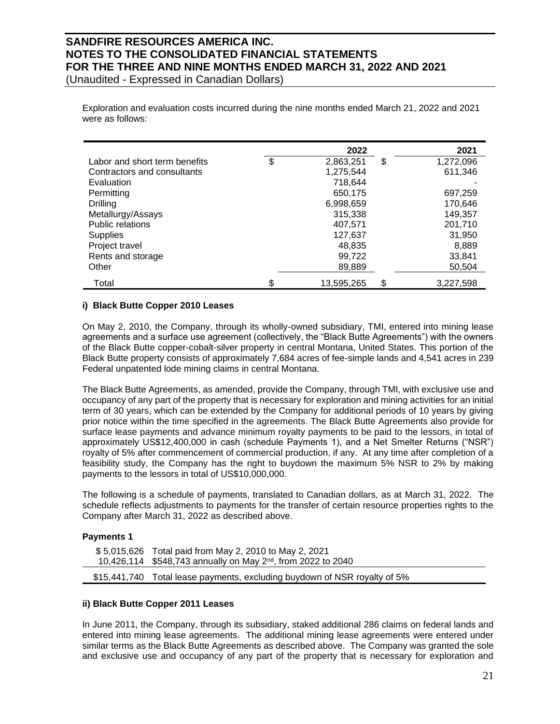(Unaudited - Expressed in Canadian Dollars)

Exploration and evaluation costs incurred during the nine months ended March 21, 2022 and 2021 were as follows:

|                               | 2022             | 2021            |
|-------------------------------|------------------|-----------------|
| Labor and short term benefits | \$<br>2,863,251  | \$<br>1,272,096 |
| Contractors and consultants   | 1,275,544        | 611,346         |
| Evaluation                    | 718.644          |                 |
| Permitting                    | 650,175          | 697,259         |
| Drilling                      | 6,998,659        | 170,646         |
| Metallurgy/Assays             | 315,338          | 149,357         |
| Public relations              | 407,571          | 201,710         |
| <b>Supplies</b>               | 127,637          | 31,950          |
| Project travel                | 48.835           | 8,889           |
| Rents and storage             | 99,722           | 33,841          |
| Other                         | 89,889           | 50,504          |
| Total                         | \$<br>13.595.265 | \$<br>3.227.598 |

### **i) Black Butte Copper 2010 Leases**

On May 2, 2010, the Company, through its wholly-owned subsidiary, TMI, entered into mining lease agreements and a surface use agreement (collectively, the "Black Butte Agreements") with the owners of the Black Butte copper-cobalt-silver property in central Montana, United States. This portion of the Black Butte property consists of approximately 7,684 acres of fee-simple lands and 4,541 acres in 239 Federal unpatented lode mining claims in central Montana.

The Black Butte Agreements, as amended, provide the Company, through TMI, with exclusive use and occupancy of any part of the property that is necessary for exploration and mining activities for an initial term of 30 years, which can be extended by the Company for additional periods of 10 years by giving prior notice within the time specified in the agreements. The Black Butte Agreements also provide for surface lease payments and advance minimum royalty payments to be paid to the lessors, in total of approximately US\$12,400,000 in cash (schedule Payments 1), and a Net Smelter Returns ("NSR") royalty of 5% after commencement of commercial production, if any. At any time after completion of a feasibility study, the Company has the right to buydown the maximum 5% NSR to 2% by making payments to the lessors in total of US\$10,000,000.

The following is a schedule of payments, translated to Canadian dollars, as at March 31, 2022. The schedule reflects adjustments to payments for the transfer of certain resource properties rights to the Company after March 31, 2022 as described above.

### **Payments 1**

| \$5,015,626 Total paid from May 2, 2010 to May 2, 2021                    |
|---------------------------------------------------------------------------|
| 10,426,114 \$548,743 annually on May 2 <sup>nd</sup> , from 2022 to 2040  |
| \$15,441,740 Total lease payments, excluding buydown of NSR royalty of 5% |

## **ii) Black Butte Copper 2011 Leases**

In June 2011, the Company, through its subsidiary, staked additional 286 claims on federal lands and entered into mining lease agreements. The additional mining lease agreements were entered under similar terms as the Black Butte Agreements as described above. The Company was granted the sole and exclusive use and occupancy of any part of the property that is necessary for exploration and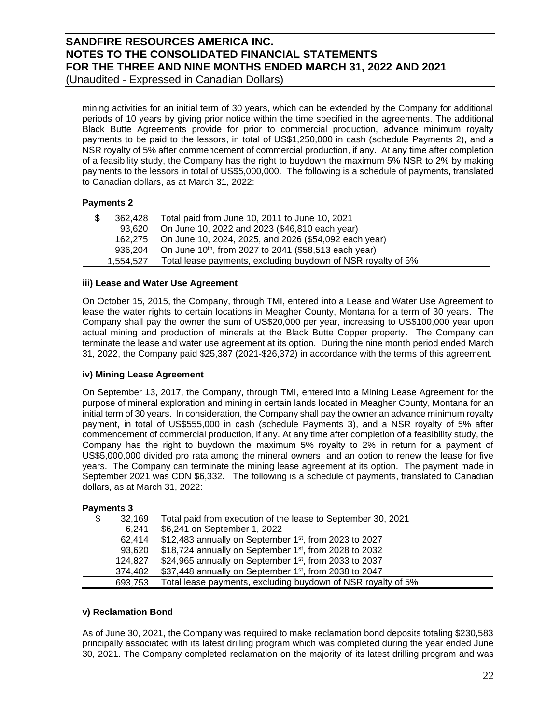(Unaudited - Expressed in Canadian Dollars)

mining activities for an initial term of 30 years, which can be extended by the Company for additional periods of 10 years by giving prior notice within the time specified in the agreements. The additional Black Butte Agreements provide for prior to commercial production, advance minimum royalty payments to be paid to the lessors, in total of US\$1,250,000 in cash (schedule Payments 2), and a NSR royalty of 5% after commencement of commercial production, if any. At any time after completion of a feasibility study, the Company has the right to buydown the maximum 5% NSR to 2% by making payments to the lessors in total of US\$5,000,000. The following is a schedule of payments, translated to Canadian dollars, as at March 31, 2022:

## **Payments 2**

| \$ | 362,428 Total paid from June 10, 2011 to June 10, 2021                    |
|----|---------------------------------------------------------------------------|
|    | 93,620 On June 10, 2022 and 2023 (\$46,810 each year)                     |
|    | 162,275 On June 10, 2024, 2025, and 2026 (\$54,092 each year)             |
|    | 936,204 On June 10 <sup>th</sup> , from 2027 to 2041 (\$58,513 each year) |
|    | 1,554,527 Total lease payments, excluding buydown of NSR royalty of 5%    |

## **iii) Lease and Water Use Agreement**

On October 15, 2015, the Company, through TMI, entered into a Lease and Water Use Agreement to lease the water rights to certain locations in Meagher County, Montana for a term of 30 years. The Company shall pay the owner the sum of US\$20,000 per year, increasing to US\$100,000 year upon actual mining and production of minerals at the Black Butte Copper property. The Company can terminate the lease and water use agreement at its option. During the nine month period ended March 31, 2022, the Company paid \$25,387 (2021-\$26,372) in accordance with the terms of this agreement.

## **iv) Mining Lease Agreement**

On September 13, 2017, the Company, through TMI, entered into a Mining Lease Agreement for the purpose of mineral exploration and mining in certain lands located in Meagher County, Montana for an initial term of 30 years. In consideration, the Company shall pay the owner an advance minimum royalty payment, in total of US\$555,000 in cash (schedule Payments 3), and a NSR royalty of 5% after commencement of commercial production, if any. At any time after completion of a feasibility study, the Company has the right to buydown the maximum 5% royalty to 2% in return for a payment of US\$5,000,000 divided pro rata among the mineral owners, and an option to renew the lease for five years. The Company can terminate the mining lease agreement at its option. The payment made in September 2021 was CDN \$6,332. The following is a schedule of payments, translated to Canadian dollars, as at March 31, 2022:

## **Payments 3**

| \$<br>32,169 | Total paid from execution of the lease to September 30, 2021       |
|--------------|--------------------------------------------------------------------|
| 6.241        | \$6,241 on September 1, 2022                                       |
| 62.414       | \$12,483 annually on September 1 <sup>st</sup> , from 2023 to 2027 |
| 93,620       | \$18,724 annually on September $1st$ , from 2028 to 2032           |
| 124,827      | \$24,965 annually on September 1 <sup>st</sup> , from 2033 to 2037 |
| 374,482      | \$37,448 annually on September 1 <sup>st</sup> , from 2038 to 2047 |
| 693,753      | Total lease payments, excluding buydown of NSR royalty of 5%       |

### **v) Reclamation Bond**

As of June 30, 2021, the Company was required to make reclamation bond deposits totaling \$230,583 principally associated with its latest drilling program which was completed during the year ended June 30, 2021. The Company completed reclamation on the majority of its latest drilling program and was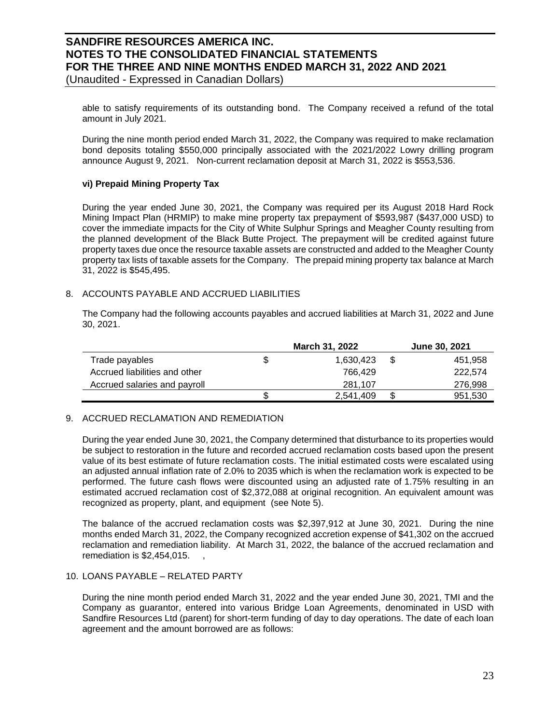(Unaudited - Expressed in Canadian Dollars)

able to satisfy requirements of its outstanding bond. The Company received a refund of the total amount in July 2021.

During the nine month period ended March 31, 2022, the Company was required to make reclamation bond deposits totaling \$550,000 principally associated with the 2021/2022 Lowry drilling program announce August 9, 2021. Non-current reclamation deposit at March 31, 2022 is \$553,536.

## **vi) Prepaid Mining Property Tax**

During the year ended June 30, 2021, the Company was required per its August 2018 Hard Rock Mining Impact Plan (HRMIP) to make mine property tax prepayment of \$593,987 (\$437,000 USD) to cover the immediate impacts for the City of White Sulphur Springs and Meagher County resulting from the planned development of the Black Butte Project. The prepayment will be credited against future property taxes due once the resource taxable assets are constructed and added to the Meagher County property tax lists of taxable assets for the Company. The prepaid mining property tax balance at March 31, 2022 is \$545,495.

## 8. ACCOUNTS PAYABLE AND ACCRUED LIABILITIES

The Company had the following accounts payables and accrued liabilities at March 31, 2022 and June 30, 2021.

|                               | <b>March 31, 2022</b> |           |   | <b>June 30, 2021</b> |
|-------------------------------|-----------------------|-----------|---|----------------------|
| Trade payables                |                       | 1,630,423 |   | 451,958              |
| Accrued liabilities and other |                       | 766.429   |   | 222.574              |
| Accrued salaries and payroll  |                       | 281.107   |   | 276,998              |
|                               |                       | 2.541.409 | S | 951,530              |

## 9. ACCRUED RECLAMATION AND REMEDIATION

During the year ended June 30, 2021, the Company determined that disturbance to its properties would be subject to restoration in the future and recorded accrued reclamation costs based upon the present value of its best estimate of future reclamation costs. The initial estimated costs were escalated using an adjusted annual inflation rate of 2.0% to 2035 which is when the reclamation work is expected to be performed. The future cash flows were discounted using an adjusted rate of 1.75% resulting in an estimated accrued reclamation cost of \$2,372,088 at original recognition. An equivalent amount was recognized as property, plant, and equipment (see Note 5).

The balance of the accrued reclamation costs was \$2,397,912 at June 30, 2021. During the nine months ended March 31, 2022, the Company recognized accretion expense of \$41,302 on the accrued reclamation and remediation liability. At March 31, 2022, the balance of the accrued reclamation and remediation is  $$2,454,015$ .

### 10. LOANS PAYABLE – RELATED PARTY

During the nine month period ended March 31, 2022 and the year ended June 30, 2021, TMI and the Company as guarantor, entered into various Bridge Loan Agreements, denominated in USD with Sandfire Resources Ltd (parent) for short-term funding of day to day operations. The date of each loan agreement and the amount borrowed are as follows: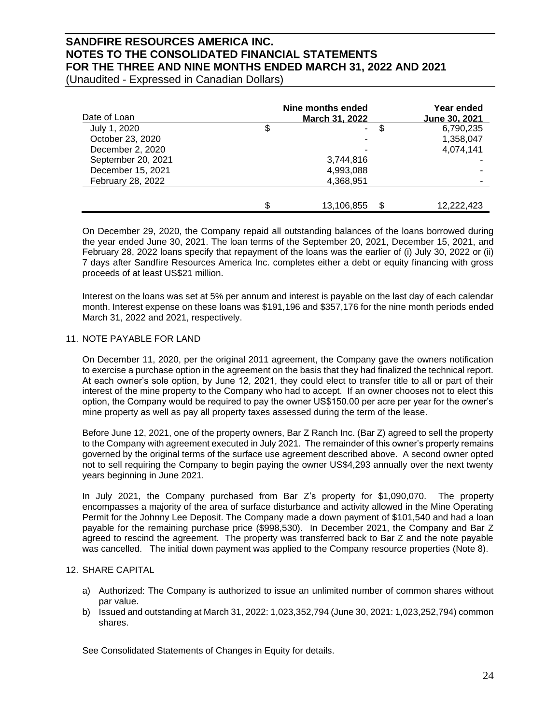(Unaudited - Expressed in Canadian Dollars)

| Date of Loan       | Nine months ended<br><b>March 31, 2022</b> | Year ended<br>June 30, 2021 |
|--------------------|--------------------------------------------|-----------------------------|
| July 1, 2020       | \$<br>S<br>-                               | 6,790,235                   |
| October 23, 2020   |                                            | 1,358,047                   |
| December 2, 2020   |                                            | 4,074,141                   |
| September 20, 2021 | 3,744,816                                  |                             |
| December 15, 2021  | 4,993,088                                  |                             |
| February 28, 2022  | 4,368,951                                  |                             |
|                    |                                            |                             |
|                    | \$<br>13,106,855                           | 12,222,423                  |

On December 29, 2020, the Company repaid all outstanding balances of the loans borrowed during the year ended June 30, 2021. The loan terms of the September 20, 2021, December 15, 2021, and February 28, 2022 loans specify that repayment of the loans was the earlier of (i) July 30, 2022 or (ii) 7 days after Sandfire Resources America Inc. completes either a debt or equity financing with gross proceeds of at least US\$21 million.

Interest on the loans was set at 5% per annum and interest is payable on the last day of each calendar month. Interest expense on these loans was \$191,196 and \$357,176 for the nine month periods ended March 31, 2022 and 2021, respectively.

### 11. NOTE PAYABLE FOR LAND

On December 11, 2020, per the original 2011 agreement, the Company gave the owners notification to exercise a purchase option in the agreement on the basis that they had finalized the technical report. At each owner's sole option, by June 12, 2021, they could elect to transfer title to all or part of their interest of the mine property to the Company who had to accept. If an owner chooses not to elect this option, the Company would be required to pay the owner US\$150.00 per acre per year for the owner's mine property as well as pay all property taxes assessed during the term of the lease.

Before June 12, 2021, one of the property owners, Bar Z Ranch Inc. (Bar Z) agreed to sell the property to the Company with agreement executed in July 2021. The remainder of this owner's property remains governed by the original terms of the surface use agreement described above. A second owner opted not to sell requiring the Company to begin paying the owner US\$4,293 annually over the next twenty years beginning in June 2021.

In July 2021, the Company purchased from Bar Z's property for \$1,090,070. The property encompasses a majority of the area of surface disturbance and activity allowed in the Mine Operating Permit for the Johnny Lee Deposit. The Company made a down payment of \$101,540 and had a loan payable for the remaining purchase price (\$998,530). In December 2021, the Company and Bar Z agreed to rescind the agreement. The property was transferred back to Bar Z and the note payable was cancelled. The initial down payment was applied to the Company resource properties (Note 8).

### 12. SHARE CAPITAL

- a) Authorized: The Company is authorized to issue an unlimited number of common shares without par value.
- b) Issued and outstanding at March 31, 2022: 1,023,352,794 (June 30, 2021: 1,023,252,794) common shares.

See Consolidated Statements of Changes in Equity for details.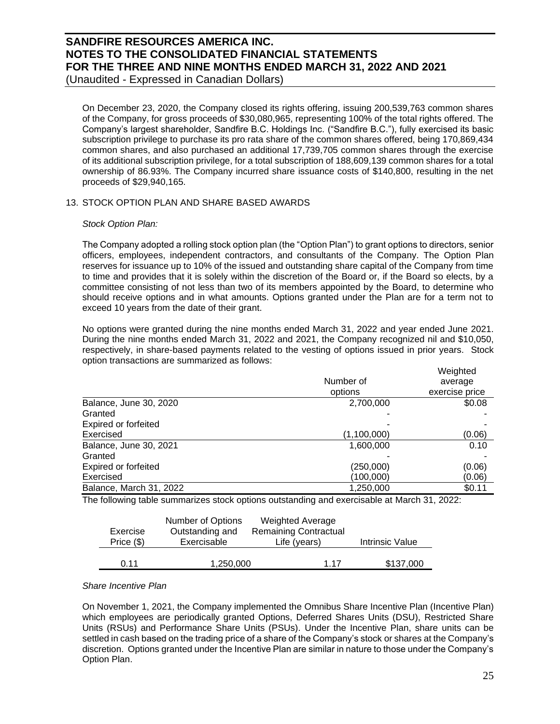(Unaudited - Expressed in Canadian Dollars)

On December 23, 2020, the Company closed its rights offering, issuing 200,539,763 common shares of the Company, for gross proceeds of \$30,080,965, representing 100% of the total rights offered. The Company's largest shareholder, Sandfire B.C. Holdings Inc. ("Sandfire B.C."), fully exercised its basic subscription privilege to purchase its pro rata share of the common shares offered, being 170,869,434 common shares, and also purchased an additional 17,739,705 common shares through the exercise of its additional subscription privilege, for a total subscription of 188,609,139 common shares for a total ownership of 86.93%. The Company incurred share issuance costs of \$140,800, resulting in the net proceeds of \$29,940,165.

## 13. STOCK OPTION PLAN AND SHARE BASED AWARDS

### *Stock Option Plan:*

The Company adopted a rolling stock option plan (the "Option Plan") to grant options to directors, senior officers, employees, independent contractors, and consultants of the Company. The Option Plan reserves for issuance up to 10% of the issued and outstanding share capital of the Company from time to time and provides that it is solely within the discretion of the Board or, if the Board so elects, by a committee consisting of not less than two of its members appointed by the Board, to determine who should receive options and in what amounts. Options granted under the Plan are for a term not to exceed 10 years from the date of their grant.

No options were granted during the nine months ended March 31, 2022 and year ended June 2021. During the nine months ended March 31, 2022 and 2021, the Company recognized nil and \$10,050, respectively, in share-based payments related to the vesting of options issued in prior years. Stock option transactions are summarized as follows:

|                             |             | Weighted       |
|-----------------------------|-------------|----------------|
|                             | Number of   | average        |
|                             | options     | exercise price |
| Balance, June 30, 2020      | 2,700,000   | \$0.08         |
| Granted                     |             |                |
| <b>Expired or forfeited</b> |             |                |
| Exercised                   | (1,100,000) | (0.06)         |
| Balance, June 30, 2021      | 1,600,000   | 0.10           |
| Granted                     |             |                |
| <b>Expired or forfeited</b> | (250,000)   | (0.06)         |
| Exercised                   | (100,000)   | (0.06)         |
| Balance, March 31, 2022     | 1,250,000   | \$0.11         |

The following table summarizes stock options outstanding and exercisable at March 31, 2022:

|              | Number of Options | <b>Weighted Average</b>      |                 |
|--------------|-------------------|------------------------------|-----------------|
| Exercise     | Outstanding and   | <b>Remaining Contractual</b> |                 |
| Price $(\$)$ | Exercisable       | Life (years)                 | Intrinsic Value |
|              |                   |                              |                 |
| O 11         | 1,250,000         | 1 17                         | \$137,000       |

### *Share Incentive Plan*

On November 1, 2021, the Company implemented the Omnibus Share Incentive Plan (Incentive Plan) which employees are periodically granted Options, Deferred Shares Units (DSU), Restricted Share Units (RSUs) and Performance Share Units (PSUs). Under the Incentive Plan, share units can be settled in cash based on the trading price of a share of the Company's stock or shares at the Company's discretion. Options granted under the Incentive Plan are similar in nature to those under the Company's Option Plan.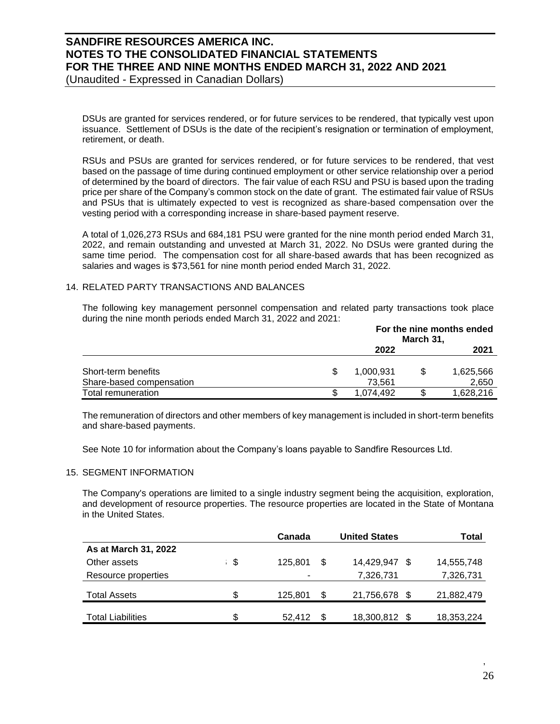(Unaudited - Expressed in Canadian Dollars)

DSUs are granted for services rendered, or for future services to be rendered, that typically vest upon issuance. Settlement of DSUs is the date of the recipient's resignation or termination of employment, retirement, or death.

RSUs and PSUs are granted for services rendered, or for future services to be rendered, that vest based on the passage of time during continued employment or other service relationship over a period of determined by the board of directors. The fair value of each RSU and PSU is based upon the trading price per share of the Company's common stock on the date of grant. The estimated fair value of RSUs and PSUs that is ultimately expected to vest is recognized as share-based compensation over the vesting period with a corresponding increase in share-based payment reserve.

A total of 1,026,273 RSUs and 684,181 PSU were granted for the nine month period ended March 31, 2022, and remain outstanding and unvested at March 31, 2022. No DSUs were granted during the same time period. The compensation cost for all share-based awards that has been recognized as salaries and wages is \$73,561 for nine month period ended March 31, 2022.

## 14. RELATED PARTY TRANSACTIONS AND BALANCES

The following key management personnel compensation and related party transactions took place during the nine month periods ended March 31, 2022 and 2021:

|                          | For the nine months ended<br>March 31, |  |           |  |
|--------------------------|----------------------------------------|--|-----------|--|
|                          | 2022                                   |  | 2021      |  |
| Short-term benefits      | 1,000,931                              |  | 1,625,566 |  |
| Share-based compensation | 73.561                                 |  | 2,650     |  |
| Total remuneration       | 1.074.492                              |  | 1,628,216 |  |

The remuneration of directors and other members of key management is included in short-term benefits and share-based payments.

See Note 10 for information about the Company's loans payable to Sandfire Resources Ltd.

### 15. SEGMENT INFORMATION

The Company's operations are limited to a single industry segment being the acquisition, exploration, and development of resource properties. The resource properties are located in the State of Montana in the United States.

|                          | Canada        |   | <b>United States</b> | Total      |
|--------------------------|---------------|---|----------------------|------------|
| As at March 31, 2022     |               |   |                      |            |
| Other assets             | \$<br>125.801 | S | 14,429,947 \$        | 14,555,748 |
| Resource properties      |               |   | 7,326,731            | 7,326,731  |
| <b>Total Assets</b>      | \$<br>125,801 | S | 21,756,678 \$        | 21,882,479 |
| <b>Total Liabilities</b> | \$<br>52.412  |   | 18,300,812 \$        | 18,353,224 |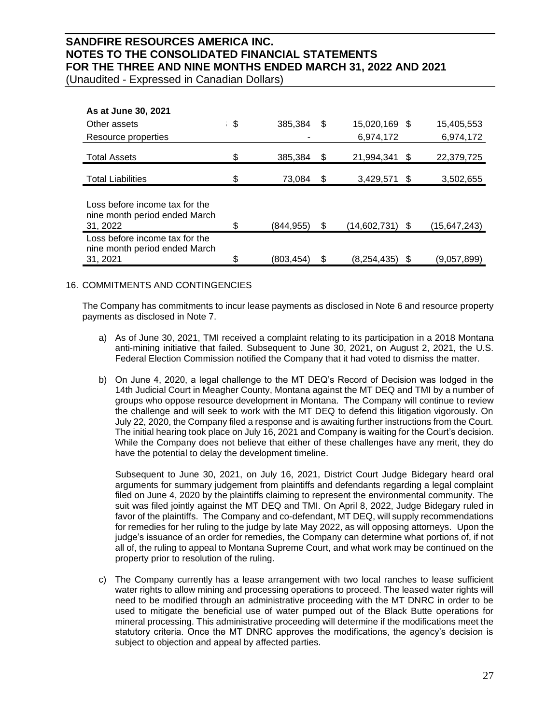(Unaudited - Expressed in Canadian Dollars)

| As at June 30, 2021                                             |                  |    |               |    |              |
|-----------------------------------------------------------------|------------------|----|---------------|----|--------------|
| Other assets                                                    | \$<br>385,384    | \$ | 15,020,169 \$ |    | 15,405,553   |
| Resource properties                                             |                  |    | 6,974,172     |    | 6,974,172    |
| <b>Total Assets</b>                                             | \$<br>385,384    | S  | 21,994,341    | \$ | 22,379,725   |
| <b>Total Liabilities</b>                                        | \$<br>73,084     | \$ | 3,429,571 \$  |    | 3,502,655    |
| Loss before income tax for the<br>nine month period ended March |                  |    |               |    |              |
| 31, 2022                                                        | \$<br>(844, 955) | \$ | (14,602,731)  | \$ | (15,647,243) |
| Loss before income tax for the<br>nine month period ended March |                  |    |               |    |              |
| 31, 2021                                                        | \$<br>(803.454)  | \$ | (8.254.435)   | S  | (9,057,899)  |

## 16. COMMITMENTS AND CONTINGENCIES

The Company has commitments to incur lease payments as disclosed in Note 6 and resource property payments as disclosed in Note 7.

- a) As of June 30, 2021, TMI received a complaint relating to its participation in a 2018 Montana anti-mining initiative that failed. Subsequent to June 30, 2021, on August 2, 2021, the U.S. Federal Election Commission notified the Company that it had voted to dismiss the matter.
- b) On June 4, 2020, a legal challenge to the MT DEQ's Record of Decision was lodged in the 14th Judicial Court in Meagher County, Montana against the MT DEQ and TMI by a number of groups who oppose resource development in Montana. The Company will continue to review the challenge and will seek to work with the MT DEQ to defend this litigation vigorously. On July 22, 2020, the Company filed a response and is awaiting further instructions from the Court. The initial hearing took place on July 16, 2021 and Company is waiting for the Court's decision. While the Company does not believe that either of these challenges have any merit, they do have the potential to delay the development timeline.

Subsequent to June 30, 2021, on July 16, 2021, District Court Judge Bidegary heard oral arguments for summary judgement from plaintiffs and defendants regarding a legal complaint filed on June 4, 2020 by the plaintiffs claiming to represent the environmental community. The suit was filed jointly against the MT DEQ and TMI. On April 8, 2022, Judge Bidegary ruled in favor of the plaintiffs. The Company and co-defendant, MT DEQ, will supply recommendations for remedies for her ruling to the judge by late May 2022, as will opposing attorneys. Upon the judge's issuance of an order for remedies, the Company can determine what portions of, if not all of, the ruling to appeal to Montana Supreme Court, and what work may be continued on the property prior to resolution of the ruling.

c) The Company currently has a lease arrangement with two local ranches to lease sufficient water rights to allow mining and processing operations to proceed. The leased water rights will need to be modified through an administrative proceeding with the MT DNRC in order to be used to mitigate the beneficial use of water pumped out of the Black Butte operations for mineral processing. This administrative proceeding will determine if the modifications meet the statutory criteria. Once the MT DNRC approves the modifications, the agency's decision is subject to objection and appeal by affected parties.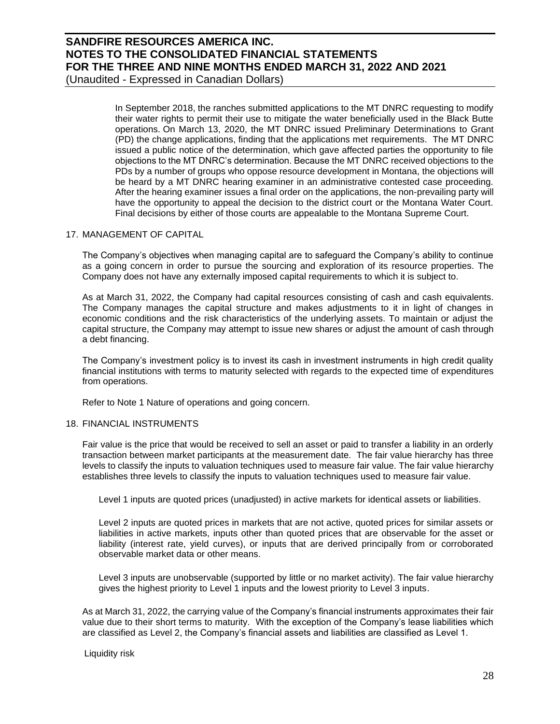(Unaudited - Expressed in Canadian Dollars)

In September 2018, the ranches submitted applications to the MT DNRC requesting to modify their water rights to permit their use to mitigate the water beneficially used in the Black Butte operations. On March 13, 2020, the MT DNRC issued Preliminary Determinations to Grant (PD) the change applications, finding that the applications met requirements. The MT DNRC issued a public notice of the determination, which gave affected parties the opportunity to file objections to the MT DNRC's determination. Because the MT DNRC received objections to the PDs by a number of groups who oppose resource development in Montana, the objections will be heard by a MT DNRC hearing examiner in an administrative contested case proceeding. After the hearing examiner issues a final order on the applications, the non-prevailing party will have the opportunity to appeal the decision to the district court or the Montana Water Court. Final decisions by either of those courts are appealable to the Montana Supreme Court.

### 17. MANAGEMENT OF CAPITAL

The Company's objectives when managing capital are to safeguard the Company's ability to continue as a going concern in order to pursue the sourcing and exploration of its resource properties. The Company does not have any externally imposed capital requirements to which it is subject to.

As at March 31, 2022, the Company had capital resources consisting of cash and cash equivalents. The Company manages the capital structure and makes adjustments to it in light of changes in economic conditions and the risk characteristics of the underlying assets. To maintain or adjust the capital structure, the Company may attempt to issue new shares or adjust the amount of cash through a debt financing.

The Company's investment policy is to invest its cash in investment instruments in high credit quality financial institutions with terms to maturity selected with regards to the expected time of expenditures from operations.

Refer to Note 1 Nature of operations and going concern.

### 18. FINANCIAL INSTRUMENTS

Fair value is the price that would be received to sell an asset or paid to transfer a liability in an orderly transaction between market participants at the measurement date. The fair value hierarchy has three levels to classify the inputs to valuation techniques used to measure fair value. The fair value hierarchy establishes three levels to classify the inputs to valuation techniques used to measure fair value.

Level 1 inputs are quoted prices (unadjusted) in active markets for identical assets or liabilities.

Level 2 inputs are quoted prices in markets that are not active, quoted prices for similar assets or liabilities in active markets, inputs other than quoted prices that are observable for the asset or liability (interest rate, yield curves), or inputs that are derived principally from or corroborated observable market data or other means.

Level 3 inputs are unobservable (supported by little or no market activity). The fair value hierarchy gives the highest priority to Level 1 inputs and the lowest priority to Level 3 inputs.

As at March 31, 2022, the carrying value of the Company's financial instruments approximates their fair value due to their short terms to maturity. With the exception of the Company's lease liabilities which are classified as Level 2, the Company's financial assets and liabilities are classified as Level 1.

Liquidity risk